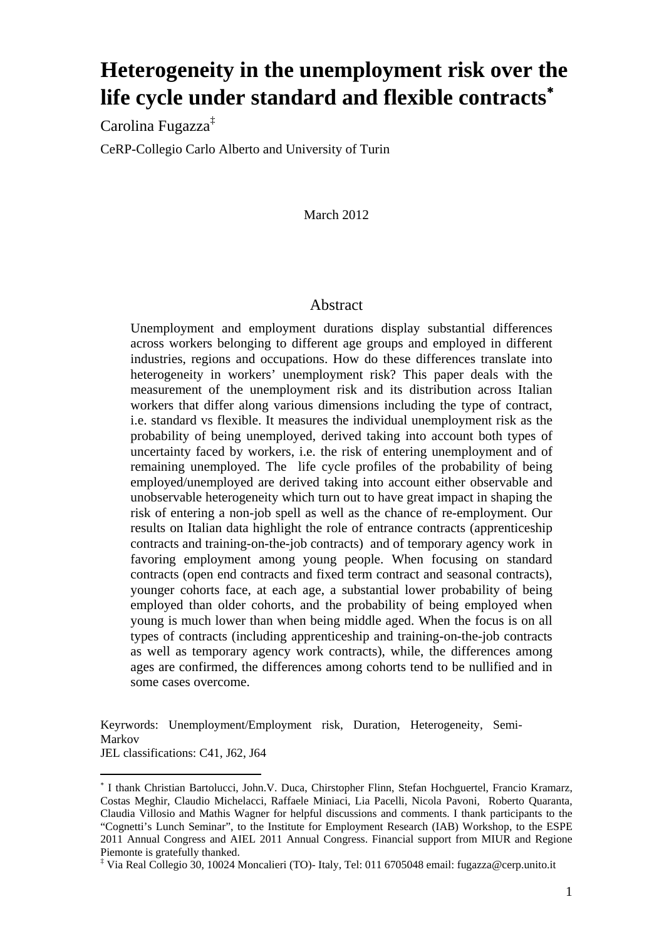# **Heterogeneity in the unemployment risk over the life cycle under standard and flexible contracts**<sup>∗</sup>

Carolina Fugazza<sup>‡</sup> CeRP-Collegio Carlo Alberto and University of Turin

## March 2012

## Abstract

Unemployment and employment durations display substantial differences across workers belonging to different age groups and employed in different industries, regions and occupations. How do these differences translate into heterogeneity in workers' unemployment risk? This paper deals with the measurement of the unemployment risk and its distribution across Italian workers that differ along various dimensions including the type of contract, i.e. standard vs flexible. It measures the individual unemployment risk as the probability of being unemployed, derived taking into account both types of uncertainty faced by workers, i.e. the risk of entering unemployment and of remaining unemployed. The life cycle profiles of the probability of being employed/unemployed are derived taking into account either observable and unobservable heterogeneity which turn out to have great impact in shaping the risk of entering a non-job spell as well as the chance of re-employment. Our results on Italian data highlight the role of entrance contracts (apprenticeship contracts and training-on-the-job contracts) and of temporary agency work in favoring employment among young people. When focusing on standard contracts (open end contracts and fixed term contract and seasonal contracts), younger cohorts face, at each age, a substantial lower probability of being employed than older cohorts, and the probability of being employed when young is much lower than when being middle aged. When the focus is on all types of contracts (including apprenticeship and training-on-the-job contracts as well as temporary agency work contracts), while, the differences among ages are confirmed, the differences among cohorts tend to be nullified and in some cases overcome.

Keyrwords: Unemployment/Employment risk, Duration, Heterogeneity, Semi-Markov JEL classifications: C41, J62, J64

 $\overline{a}$ 

<sup>∗</sup> I thank Christian Bartolucci, John.V. Duca, Chirstopher Flinn, Stefan Hochguertel, Francio Kramarz, Costas Meghir, Claudio Michelacci, Raffaele Miniaci, Lia Pacelli, Nicola Pavoni, Roberto Quaranta, Claudia Villosio and Mathis Wagner for helpful discussions and comments. I thank participants to the "Cognetti's Lunch Seminar", to the Institute for Employment Research (IAB) Workshop, to the ESPE 2011 Annual Congress and AIEL 2011 Annual Congress. Financial support from MIUR and Regione Piemonte is gratefully thanked.

<sup>‡</sup> Via Real Collegio 30, 10024 Moncalieri (TO)- Italy, Tel: 011 6705048 email: fugazza@cerp.unito.it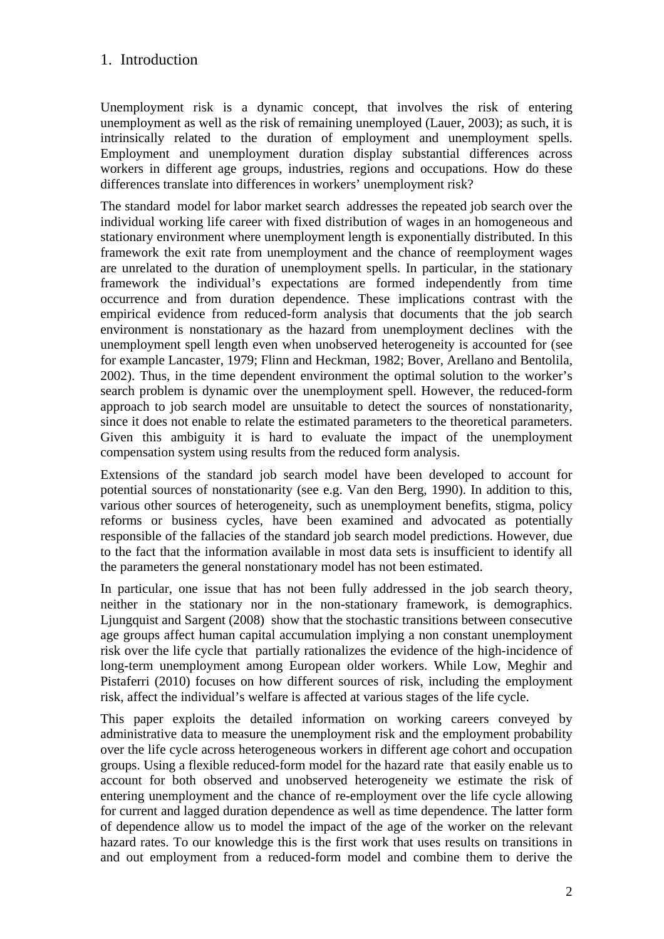# 1. Introduction

Unemployment risk is a dynamic concept, that involves the risk of entering unemployment as well as the risk of remaining unemployed (Lauer, 2003); as such, it is intrinsically related to the duration of employment and unemployment spells. Employment and unemployment duration display substantial differences across workers in different age groups, industries, regions and occupations. How do these differences translate into differences in workers' unemployment risk?

The standard model for labor market search addresses the repeated job search over the individual working life career with fixed distribution of wages in an homogeneous and stationary environment where unemployment length is exponentially distributed. In this framework the exit rate from unemployment and the chance of reemployment wages are unrelated to the duration of unemployment spells. In particular, in the stationary framework the individual's expectations are formed independently from time occurrence and from duration dependence. These implications contrast with the empirical evidence from reduced-form analysis that documents that the job search environment is nonstationary as the hazard from unemployment declines with the unemployment spell length even when unobserved heterogeneity is accounted for (see for example Lancaster, 1979; Flinn and Heckman, 1982; Bover, Arellano and Bentolila, 2002). Thus, in the time dependent environment the optimal solution to the worker's search problem is dynamic over the unemployment spell. However, the reduced-form approach to job search model are unsuitable to detect the sources of nonstationarity, since it does not enable to relate the estimated parameters to the theoretical parameters. Given this ambiguity it is hard to evaluate the impact of the unemployment compensation system using results from the reduced form analysis.

Extensions of the standard job search model have been developed to account for potential sources of nonstationarity (see e.g. Van den Berg, 1990). In addition to this, various other sources of heterogeneity, such as unemployment benefits, stigma, policy reforms or business cycles, have been examined and advocated as potentially responsible of the fallacies of the standard job search model predictions. However, due to the fact that the information available in most data sets is insufficient to identify all the parameters the general nonstationary model has not been estimated.

In particular, one issue that has not been fully addressed in the job search theory, neither in the stationary nor in the non-stationary framework, is demographics. Ljungquist and Sargent (2008) show that the stochastic transitions between consecutive age groups affect human capital accumulation implying a non constant unemployment risk over the life cycle that partially rationalizes the evidence of the high-incidence of long-term unemployment among European older workers. While Low, Meghir and Pistaferri (2010) focuses on how different sources of risk, including the employment risk, affect the individual's welfare is affected at various stages of the life cycle.

This paper exploits the detailed information on working careers conveyed by administrative data to measure the unemployment risk and the employment probability over the life cycle across heterogeneous workers in different age cohort and occupation groups. Using a flexible reduced-form model for the hazard rate that easily enable us to account for both observed and unobserved heterogeneity we estimate the risk of entering unemployment and the chance of re-employment over the life cycle allowing for current and lagged duration dependence as well as time dependence. The latter form of dependence allow us to model the impact of the age of the worker on the relevant hazard rates. To our knowledge this is the first work that uses results on transitions in and out employment from a reduced-form model and combine them to derive the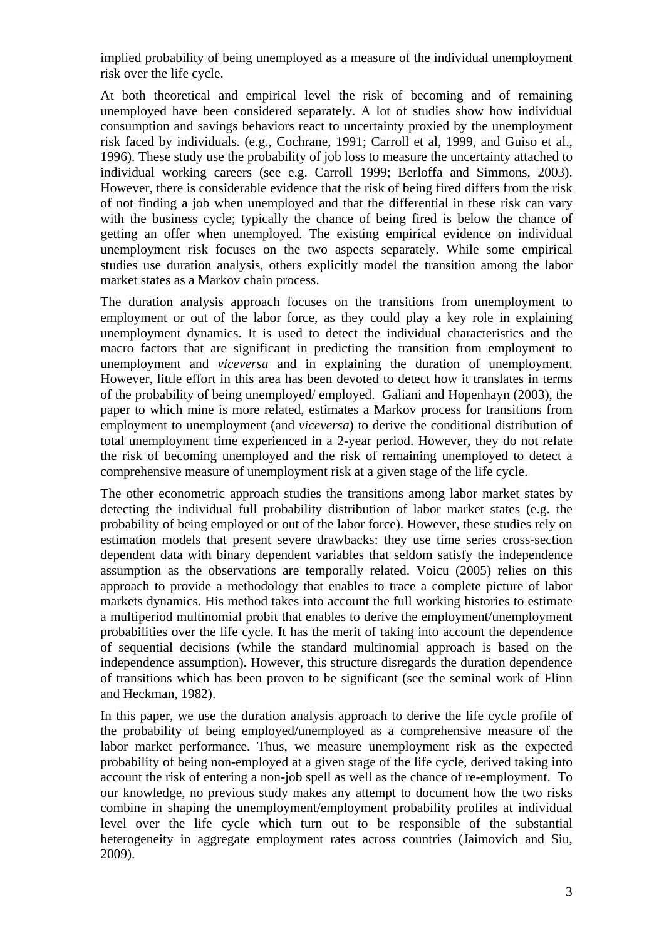implied probability of being unemployed as a measure of the individual unemployment risk over the life cycle.

At both theoretical and empirical level the risk of becoming and of remaining unemployed have been considered separately. A lot of studies show how individual consumption and savings behaviors react to uncertainty proxied by the unemployment risk faced by individuals. (e.g., Cochrane, 1991; Carroll et al, 1999, and Guiso et al., 1996). These study use the probability of job loss to measure the uncertainty attached to individual working careers (see e.g. Carroll 1999; Berloffa and Simmons, 2003). However, there is considerable evidence that the risk of being fired differs from the risk of not finding a job when unemployed and that the differential in these risk can vary with the business cycle; typically the chance of being fired is below the chance of getting an offer when unemployed. The existing empirical evidence on individual unemployment risk focuses on the two aspects separately. While some empirical studies use duration analysis, others explicitly model the transition among the labor market states as a Markov chain process.

The duration analysis approach focuses on the transitions from unemployment to employment or out of the labor force, as they could play a key role in explaining unemployment dynamics. It is used to detect the individual characteristics and the macro factors that are significant in predicting the transition from employment to unemployment and *viceversa* and in explaining the duration of unemployment. However, little effort in this area has been devoted to detect how it translates in terms of the probability of being unemployed/ employed. Galiani and Hopenhayn (2003), the paper to which mine is more related, estimates a Markov process for transitions from employment to unemployment (and *viceversa*) to derive the conditional distribution of total unemployment time experienced in a 2-year period. However, they do not relate the risk of becoming unemployed and the risk of remaining unemployed to detect a comprehensive measure of unemployment risk at a given stage of the life cycle.

The other econometric approach studies the transitions among labor market states by detecting the individual full probability distribution of labor market states (e.g. the probability of being employed or out of the labor force). However, these studies rely on estimation models that present severe drawbacks: they use time series cross-section dependent data with binary dependent variables that seldom satisfy the independence assumption as the observations are temporally related. Voicu (2005) relies on this approach to provide a methodology that enables to trace a complete picture of labor markets dynamics. His method takes into account the full working histories to estimate a multiperiod multinomial probit that enables to derive the employment/unemployment probabilities over the life cycle. It has the merit of taking into account the dependence of sequential decisions (while the standard multinomial approach is based on the independence assumption). However, this structure disregards the duration dependence of transitions which has been proven to be significant (see the seminal work of Flinn and Heckman, 1982).

In this paper, we use the duration analysis approach to derive the life cycle profile of the probability of being employed/unemployed as a comprehensive measure of the labor market performance. Thus, we measure unemployment risk as the expected probability of being non-employed at a given stage of the life cycle, derived taking into account the risk of entering a non-job spell as well as the chance of re-employment. To our knowledge, no previous study makes any attempt to document how the two risks combine in shaping the unemployment/employment probability profiles at individual level over the life cycle which turn out to be responsible of the substantial heterogeneity in aggregate employment rates across countries (Jaimovich and Siu, 2009).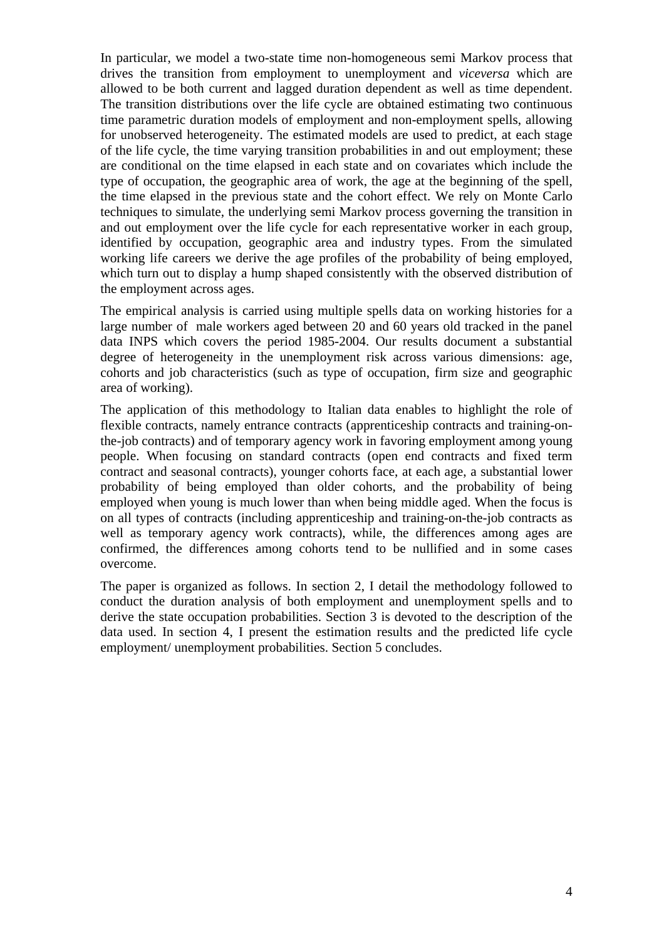In particular, we model a two-state time non-homogeneous semi Markov process that drives the transition from employment to unemployment and *viceversa* which are allowed to be both current and lagged duration dependent as well as time dependent. The transition distributions over the life cycle are obtained estimating two continuous time parametric duration models of employment and non-employment spells, allowing for unobserved heterogeneity. The estimated models are used to predict, at each stage of the life cycle, the time varying transition probabilities in and out employment; these are conditional on the time elapsed in each state and on covariates which include the type of occupation, the geographic area of work, the age at the beginning of the spell, the time elapsed in the previous state and the cohort effect. We rely on Monte Carlo techniques to simulate, the underlying semi Markov process governing the transition in and out employment over the life cycle for each representative worker in each group, identified by occupation, geographic area and industry types. From the simulated working life careers we derive the age profiles of the probability of being employed, which turn out to display a hump shaped consistently with the observed distribution of the employment across ages.

The empirical analysis is carried using multiple spells data on working histories for a large number of male workers aged between 20 and 60 years old tracked in the panel data INPS which covers the period 1985-2004. Our results document a substantial degree of heterogeneity in the unemployment risk across various dimensions: age, cohorts and job characteristics (such as type of occupation, firm size and geographic area of working).

The application of this methodology to Italian data enables to highlight the role of flexible contracts, namely entrance contracts (apprenticeship contracts and training-onthe-job contracts) and of temporary agency work in favoring employment among young people. When focusing on standard contracts (open end contracts and fixed term contract and seasonal contracts), younger cohorts face, at each age, a substantial lower probability of being employed than older cohorts, and the probability of being employed when young is much lower than when being middle aged. When the focus is on all types of contracts (including apprenticeship and training-on-the-job contracts as well as temporary agency work contracts), while, the differences among ages are confirmed, the differences among cohorts tend to be nullified and in some cases overcome.

The paper is organized as follows. In section 2, I detail the methodology followed to conduct the duration analysis of both employment and unemployment spells and to derive the state occupation probabilities. Section 3 is devoted to the description of the data used. In section 4, I present the estimation results and the predicted life cycle employment/ unemployment probabilities. Section 5 concludes.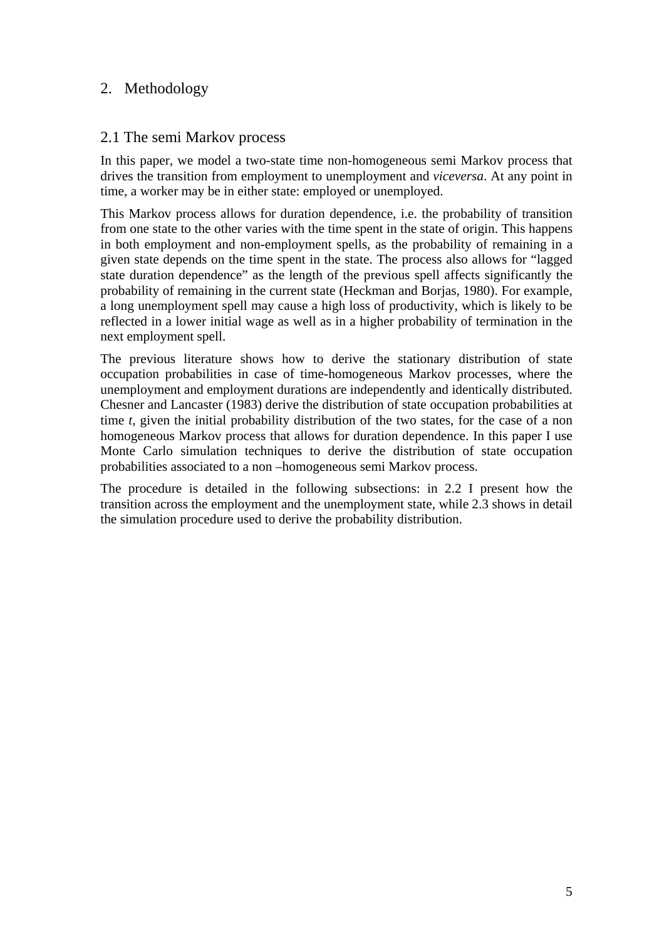# 2. Methodology

# 2.1 The semi Markov process

In this paper, we model a two-state time non-homogeneous semi Markov process that drives the transition from employment to unemployment and *viceversa*. At any point in time, a worker may be in either state: employed or unemployed.

This Markov process allows for duration dependence, i.e. the probability of transition from one state to the other varies with the time spent in the state of origin. This happens in both employment and non-employment spells, as the probability of remaining in a given state depends on the time spent in the state. The process also allows for "lagged state duration dependence" as the length of the previous spell affects significantly the probability of remaining in the current state (Heckman and Borjas, 1980). For example, a long unemployment spell may cause a high loss of productivity, which is likely to be reflected in a lower initial wage as well as in a higher probability of termination in the next employment spell.

The previous literature shows how to derive the stationary distribution of state occupation probabilities in case of time-homogeneous Markov processes, where the unemployment and employment durations are independently and identically distributed. Chesner and Lancaster (1983) derive the distribution of state occupation probabilities at time *t*, given the initial probability distribution of the two states, for the case of a non homogeneous Markov process that allows for duration dependence. In this paper I use Monte Carlo simulation techniques to derive the distribution of state occupation probabilities associated to a non –homogeneous semi Markov process.

The procedure is detailed in the following subsections: in 2.2 I present how the transition across the employment and the unemployment state, while 2.3 shows in detail the simulation procedure used to derive the probability distribution.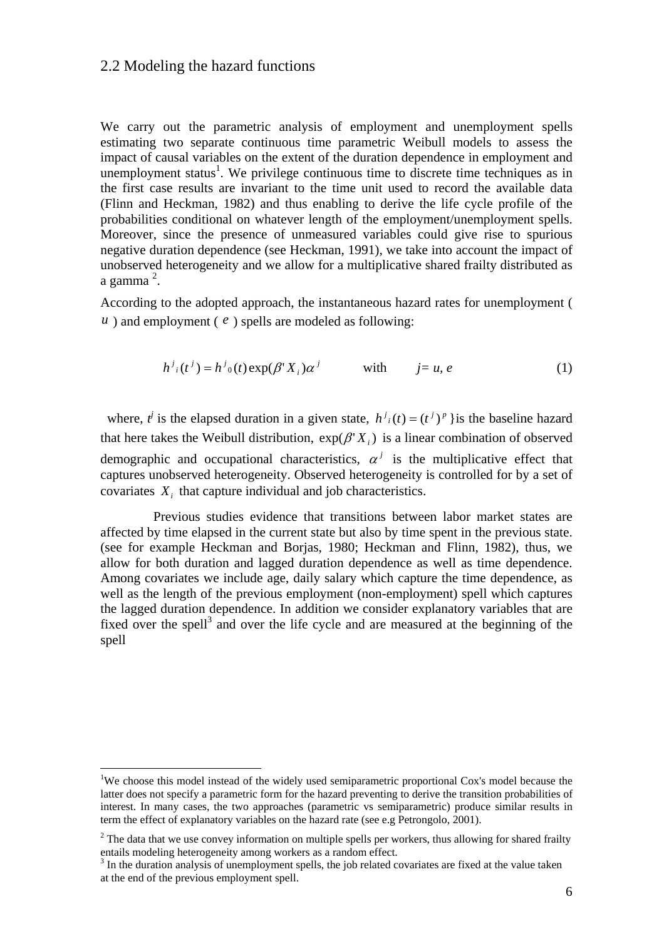### 2.2 Modeling the hazard functions

We carry out the parametric analysis of employment and unemployment spells estimating two separate continuous time parametric Weibull models to assess the impact of causal variables on the extent of the duration dependence in employment and unemployment status<sup>1</sup>. We privilege continuous time to discrete time techniques as in the first case results are invariant to the time unit used to record the available data (Flinn and Heckman, 1982) and thus enabling to derive the life cycle profile of the probabilities conditional on whatever length of the employment/unemployment spells. Moreover, since the presence of unmeasured variables could give rise to spurious negative duration dependence (see Heckman, 1991), we take into account the impact of unobserved heterogeneity and we allow for a multiplicative shared frailty distributed as a gamma <sup>2</sup>.

According to the adopted approach, the instantaneous hazard rates for unemployment ( *) and employment (* $e$ *) spells are modeled as following:* 

$$
h^{j}(t^{j}) = h^{j}{}_{0}(t) \exp(\beta^{r} X_{i}) \alpha^{j} \qquad \text{with} \qquad j = u, e \qquad (1)
$$

where,  $t^j$  is the elapsed duration in a given state,  $h^j_i(t) = (t^j)^p$  } is the baseline hazard that here takes the Weibull distribution,  $exp(\beta' X_i)$  is a linear combination of observed demographic and occupational characteristics,  $\alpha^{j}$  is the multiplicative effect that captures unobserved heterogeneity. Observed heterogeneity is controlled for by a set of covariates *Xi* that capture individual and job characteristics.

 Previous studies evidence that transitions between labor market states are affected by time elapsed in the current state but also by time spent in the previous state. (see for example Heckman and Borjas, 1980; Heckman and Flinn, 1982), thus, we allow for both duration and lagged duration dependence as well as time dependence. Among covariates we include age, daily salary which capture the time dependence, as well as the length of the previous employment (non-employment) spell which captures the lagged duration dependence. In addition we consider explanatory variables that are fixed over the spell<sup>3</sup> and over the life cycle and are measured at the beginning of the spell

 $\overline{a}$ 

<sup>&</sup>lt;sup>1</sup>We choose this model instead of the widely used semiparametric proportional Cox's model because the latter does not specify a parametric form for the hazard preventing to derive the transition probabilities of interest. In many cases, the two approaches (parametric vs semiparametric) produce similar results in term the effect of explanatory variables on the hazard rate (see e.g Petrongolo, 2001).

 $2<sup>2</sup>$  The data that we use convey information on multiple spells per workers, thus allowing for shared frailty entails modeling heterogeneity among workers as a random effect.

<sup>&</sup>lt;sup>3</sup> In the duration analysis of unemployment spells, the job related covariates are fixed at the value taken at the end of the previous employment spell.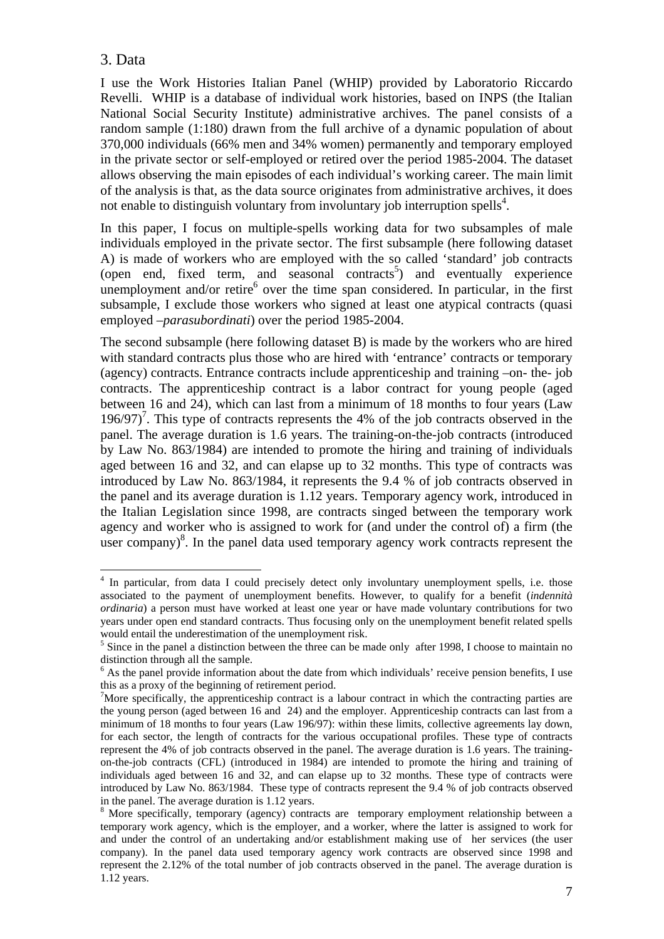# 3. Data

I use the Work Histories Italian Panel (WHIP) provided by Laboratorio Riccardo Revelli. WHIP is a database of individual work histories, based on INPS (the Italian National Social Security Institute) administrative archives. The panel consists of a random sample (1:180) drawn from the full archive of a dynamic population of about 370,000 individuals (66% men and 34% women) permanently and temporary employed in the private sector or self-employed or retired over the period 1985-2004. The dataset allows observing the main episodes of each individual's working career. The main limit of the analysis is that, as the data source originates from administrative archives, it does not enable to distinguish voluntary from involuntary job interruption spells<sup>4</sup>.

In this paper, I focus on multiple-spells working data for two subsamples of male individuals employed in the private sector. The first subsample (here following dataset A) is made of workers who are employed with the so called 'standard' job contracts (open end, fixed term, and seasonal contracts<sup>5</sup>) and eventually experience unemployment and/or retire $<sup>6</sup>$  over the time span considered. In particular, in the first</sup> subsample, I exclude those workers who signed at least one atypical contracts (quasi employed –*parasubordinati*) over the period 1985-2004.

The second subsample (here following dataset B) is made by the workers who are hired with standard contracts plus those who are hired with 'entrance' contracts or temporary (agency) contracts. Entrance contracts include apprenticeship and training –on- the- job contracts. The apprenticeship contract is a labor contract for young people (aged between 16 and 24), which can last from a minimum of 18 months to four years (Law 196/97)<sup>7</sup>. This type of contracts represents the 4% of the job contracts observed in the panel. The average duration is 1.6 years. The training-on-the-job contracts (introduced by Law No. 863/1984) are intended to promote the hiring and training of individuals aged between 16 and 32, and can elapse up to 32 months. This type of contracts was introduced by Law No. 863/1984, it represents the 9.4 % of job contracts observed in the panel and its average duration is 1.12 years. Temporary agency work, introduced in the Italian Legislation since 1998, are contracts singed between the temporary work agency and worker who is assigned to work for (and under the control of) a firm (the user company) $\delta$ . In the panel data used temporary agency work contracts represent the

 4 In particular, from data I could precisely detect only involuntary unemployment spells, i.e. those associated to the payment of unemployment benefits. However, to qualify for a benefit (*indennità ordinaria*) a person must have worked at least one year or have made voluntary contributions for two years under open end standard contracts. Thus focusing only on the unemployment benefit related spells would entail the underestimation of the unemployment risk.

<sup>&</sup>lt;sup>5</sup> Since in the panel a distinction between the three can be made only after 1998, I choose to maintain no distinction through all the sample.

<sup>&</sup>lt;sup>6</sup> As the panel provide information about the date from which individuals' receive pension benefits, I use this as a proxy of the beginning of retirement period.

<sup>&</sup>lt;sup>7</sup>More specifically, the apprenticeship contract is a labour contract in which the contracting parties are the young person (aged between 16 and 24) and the employer. Apprenticeship contracts can last from a minimum of 18 months to four years (Law 196/97): within these limits, collective agreements lay down, for each sector, the length of contracts for the various occupational profiles. These type of contracts represent the 4% of job contracts observed in the panel. The average duration is 1.6 years. The trainingon-the-job contracts (CFL) (introduced in 1984) are intended to promote the hiring and training of individuals aged between 16 and 32, and can elapse up to 32 months. These type of contracts were introduced by Law No. 863/1984. These type of contracts represent the 9.4 % of job contracts observed in the panel. The average duration is 1.12 years.

<sup>&</sup>lt;sup>8</sup> More specifically, temporary (agency) contracts are temporary employment relationship between a temporary work agency, which is the employer, and a worker, where the latter is assigned to work for and under the control of an undertaking and/or establishment making use of her services (the user company). In the panel data used temporary agency work contracts are observed since 1998 and represent the 2.12% of the total number of job contracts observed in the panel. The average duration is 1.12 years.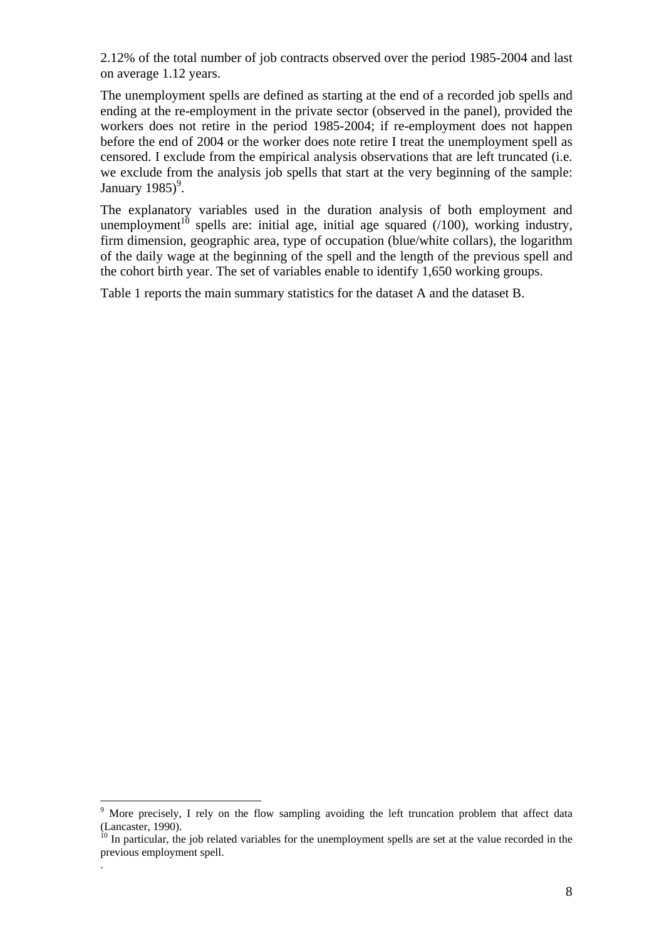2.12% of the total number of job contracts observed over the period 1985-2004 and last on average 1.12 years.

The unemployment spells are defined as starting at the end of a recorded job spells and ending at the re-employment in the private sector (observed in the panel), provided the workers does not retire in the period 1985-2004; if re-employment does not happen before the end of 2004 or the worker does note retire I treat the unemployment spell as censored. I exclude from the empirical analysis observations that are left truncated (i.e. we exclude from the analysis job spells that start at the very beginning of the sample: January  $1985$ <sup>9</sup>.

The explanatory variables used in the duration analysis of both employment and unemployment<sup>10</sup> spells are: initial age, initial age squared  $(100)$ , working industry, firm dimension, geographic area, type of occupation (blue/white collars), the logarithm of the daily wage at the beginning of the spell and the length of the previous spell and the cohort birth year. The set of variables enable to identify 1,650 working groups.

Table 1 reports the main summary statistics for the dataset A and the dataset B.

 $\overline{a}$ 

.

<sup>9</sup> More precisely, I rely on the flow sampling avoiding the left truncation problem that affect data (Lancaster, 1990).

 $10$  In particular, the job related variables for the unemployment spells are set at the value recorded in the previous employment spell.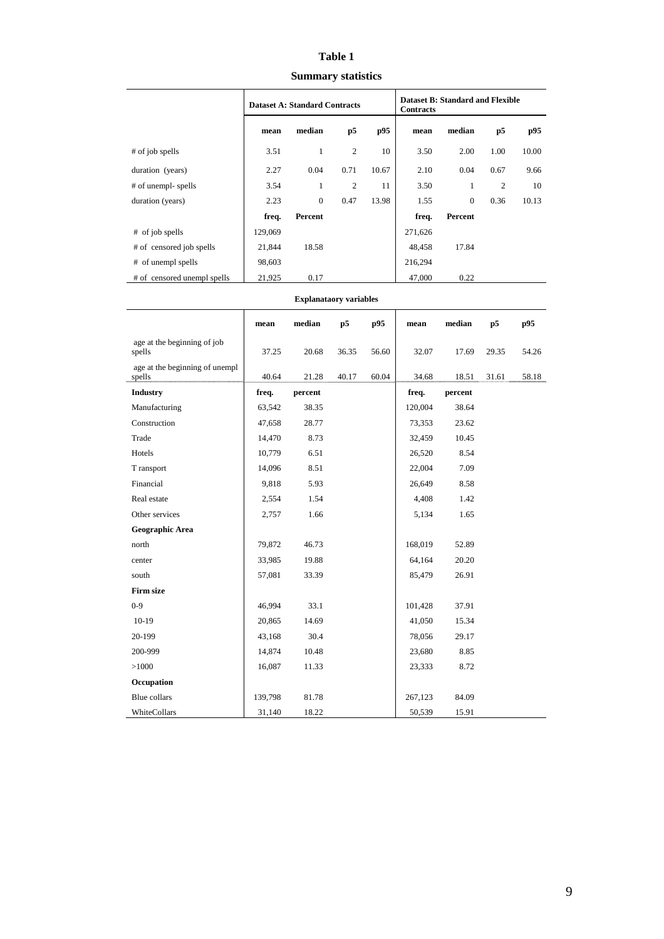### **Table 1**

**Summary statistics** 

|                             | <b>Dataset A: Standard Contracts</b> |              |                | <b>Dataset B: Standard and Flexible</b><br><b>Contracts</b> |         |              |                |       |
|-----------------------------|--------------------------------------|--------------|----------------|-------------------------------------------------------------|---------|--------------|----------------|-------|
|                             | mean                                 | median       | p5             | p95                                                         | mean    | median       | p5             | p95   |
| # of job spells             | 3.51                                 | 1            | $\overline{2}$ | 10                                                          | 3.50    | 2.00         | 1.00           | 10.00 |
| duration (years)            | 2.27                                 | 0.04         | 0.71           | 10.67                                                       | 2.10    | 0.04         | 0.67           | 9.66  |
| # of unempl- spells         | 3.54                                 | 1            | $\overline{2}$ | 11                                                          | 3.50    | 1            | $\overline{c}$ | 10    |
| duration (years)            | 2.23                                 | $\mathbf{0}$ | 0.47           | 13.98                                                       | 1.55    | $\mathbf{0}$ | 0.36           | 10.13 |
|                             | freq.                                | Percent      |                |                                                             | freq.   | Percent      |                |       |
| # of job spells             | 129,069                              |              |                |                                                             | 271,626 |              |                |       |
| # of censored job spells    | 21,844                               | 18.58        |                |                                                             | 48,458  | 17.84        |                |       |
| # of unempl spells          | 98,603                               |              |                |                                                             | 216,294 |              |                |       |
| # of censored unempl spells | 21,925                               | 0.17         |                |                                                             | 47,000  | 0.22         |                |       |

#### **Explanataory variables**

|                                          | mean    | median  | p5    | p95   | mean    | median  | p5    | p95   |
|------------------------------------------|---------|---------|-------|-------|---------|---------|-------|-------|
| age at the beginning of job<br>spells    | 37.25   | 20.68   | 36.35 | 56.60 | 32.07   | 17.69   | 29.35 | 54.26 |
| age at the beginning of unempl<br>spells | 40.64   | 21.28   | 40.17 | 60.04 | 34.68   | 18.51   | 31.61 | 58.18 |
| <b>Industry</b>                          | freq.   | percent |       |       | freq.   | percent |       |       |
| Manufacturing                            | 63,542  | 38.35   |       |       | 120,004 | 38.64   |       |       |
| Construction                             | 47,658  | 28.77   |       |       | 73,353  | 23.62   |       |       |
| Trade                                    | 14,470  | 8.73    |       |       | 32,459  | 10.45   |       |       |
| Hotels                                   | 10,779  | 6.51    |       |       | 26,520  | 8.54    |       |       |
| T ransport                               | 14,096  | 8.51    |       |       | 22,004  | 7.09    |       |       |
| Financial                                | 9,818   | 5.93    |       |       | 26,649  | 8.58    |       |       |
| Real estate                              | 2,554   | 1.54    |       |       | 4,408   | 1.42    |       |       |
| Other services                           | 2,757   | 1.66    |       |       | 5,134   | 1.65    |       |       |
| Geographic Area                          |         |         |       |       |         |         |       |       |
| north                                    | 79,872  | 46.73   |       |       | 168,019 | 52.89   |       |       |
| center                                   | 33,985  | 19.88   |       |       | 64,164  | 20.20   |       |       |
| south                                    | 57,081  | 33.39   |       |       | 85,479  | 26.91   |       |       |
| <b>Firm size</b>                         |         |         |       |       |         |         |       |       |
| $0 - 9$                                  | 46,994  | 33.1    |       |       | 101,428 | 37.91   |       |       |
| $10-19$                                  | 20,865  | 14.69   |       |       | 41,050  | 15.34   |       |       |
| 20-199                                   | 43,168  | 30.4    |       |       | 78,056  | 29.17   |       |       |
| 200-999                                  | 14,874  | 10.48   |       |       | 23,680  | 8.85    |       |       |
| >1000                                    | 16,087  | 11.33   |       |       | 23,333  | 8.72    |       |       |
| Occupation                               |         |         |       |       |         |         |       |       |
| <b>Blue</b> collars                      | 139,798 | 81.78   |       |       | 267,123 | 84.09   |       |       |
| WhiteCollars                             | 31,140  | 18.22   |       |       | 50,539  | 15.91   |       |       |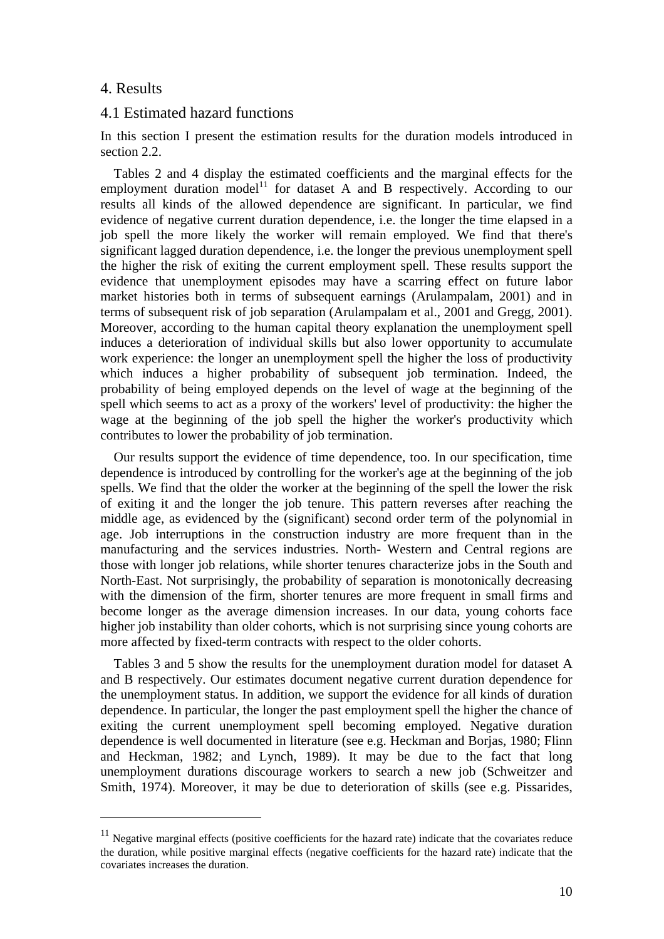### 4. Results

 $\overline{a}$ 

### 4.1 Estimated hazard functions

In this section I present the estimation results for the duration models introduced in section 2.2.

 Tables 2 and 4 display the estimated coefficients and the marginal effects for the employment duration model<sup>11</sup> for dataset A and B respectively. According to our results all kinds of the allowed dependence are significant. In particular, we find evidence of negative current duration dependence, i.e. the longer the time elapsed in a job spell the more likely the worker will remain employed. We find that there's significant lagged duration dependence, i.e. the longer the previous unemployment spell the higher the risk of exiting the current employment spell. These results support the evidence that unemployment episodes may have a scarring effect on future labor market histories both in terms of subsequent earnings (Arulampalam, 2001) and in terms of subsequent risk of job separation (Arulampalam et al., 2001 and Gregg, 2001). Moreover, according to the human capital theory explanation the unemployment spell induces a deterioration of individual skills but also lower opportunity to accumulate work experience: the longer an unemployment spell the higher the loss of productivity which induces a higher probability of subsequent job termination. Indeed, the probability of being employed depends on the level of wage at the beginning of the spell which seems to act as a proxy of the workers' level of productivity: the higher the wage at the beginning of the job spell the higher the worker's productivity which contributes to lower the probability of job termination.

 Our results support the evidence of time dependence, too. In our specification, time dependence is introduced by controlling for the worker's age at the beginning of the job spells. We find that the older the worker at the beginning of the spell the lower the risk of exiting it and the longer the job tenure. This pattern reverses after reaching the middle age, as evidenced by the (significant) second order term of the polynomial in age. Job interruptions in the construction industry are more frequent than in the manufacturing and the services industries. North- Western and Central regions are those with longer job relations, while shorter tenures characterize jobs in the South and North-East. Not surprisingly, the probability of separation is monotonically decreasing with the dimension of the firm, shorter tenures are more frequent in small firms and become longer as the average dimension increases. In our data, young cohorts face higher job instability than older cohorts, which is not surprising since young cohorts are more affected by fixed-term contracts with respect to the older cohorts.

 Tables 3 and 5 show the results for the unemployment duration model for dataset A and B respectively. Our estimates document negative current duration dependence for the unemployment status. In addition, we support the evidence for all kinds of duration dependence. In particular, the longer the past employment spell the higher the chance of exiting the current unemployment spell becoming employed. Negative duration dependence is well documented in literature (see e.g. Heckman and Borjas, 1980; Flinn and Heckman, 1982; and Lynch, 1989). It may be due to the fact that long unemployment durations discourage workers to search a new job (Schweitzer and Smith, 1974). Moreover, it may be due to deterioration of skills (see e.g. Pissarides,

 $11$  Negative marginal effects (positive coefficients for the hazard rate) indicate that the covariates reduce the duration, while positive marginal effects (negative coefficients for the hazard rate) indicate that the covariates increases the duration.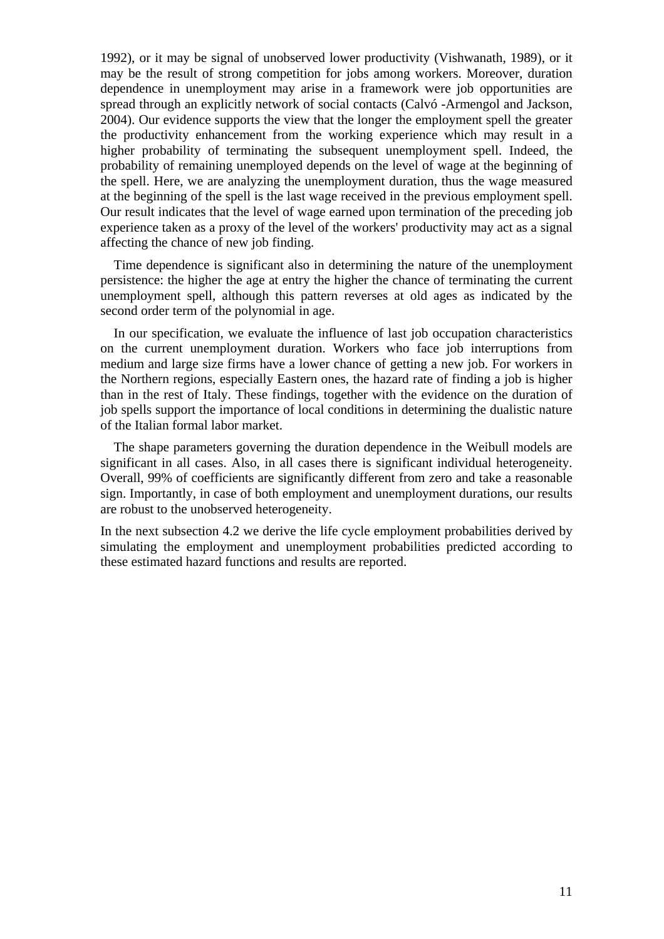1992), or it may be signal of unobserved lower productivity (Vishwanath, 1989), or it may be the result of strong competition for jobs among workers. Moreover, duration dependence in unemployment may arise in a framework were job opportunities are spread through an explicitly network of social contacts (Calvó -Armengol and Jackson, 2004). Our evidence supports the view that the longer the employment spell the greater the productivity enhancement from the working experience which may result in a higher probability of terminating the subsequent unemployment spell. Indeed, the probability of remaining unemployed depends on the level of wage at the beginning of the spell. Here, we are analyzing the unemployment duration, thus the wage measured at the beginning of the spell is the last wage received in the previous employment spell. Our result indicates that the level of wage earned upon termination of the preceding job experience taken as a proxy of the level of the workers' productivity may act as a signal affecting the chance of new job finding.

 Time dependence is significant also in determining the nature of the unemployment persistence: the higher the age at entry the higher the chance of terminating the current unemployment spell, although this pattern reverses at old ages as indicated by the second order term of the polynomial in age.

 In our specification, we evaluate the influence of last job occupation characteristics on the current unemployment duration. Workers who face job interruptions from medium and large size firms have a lower chance of getting a new job. For workers in the Northern regions, especially Eastern ones, the hazard rate of finding a job is higher than in the rest of Italy. These findings, together with the evidence on the duration of job spells support the importance of local conditions in determining the dualistic nature of the Italian formal labor market.

 The shape parameters governing the duration dependence in the Weibull models are significant in all cases. Also, in all cases there is significant individual heterogeneity. Overall, 99% of coefficients are significantly different from zero and take a reasonable sign. Importantly, in case of both employment and unemployment durations, our results are robust to the unobserved heterogeneity.

In the next subsection 4.2 we derive the life cycle employment probabilities derived by simulating the employment and unemployment probabilities predicted according to these estimated hazard functions and results are reported.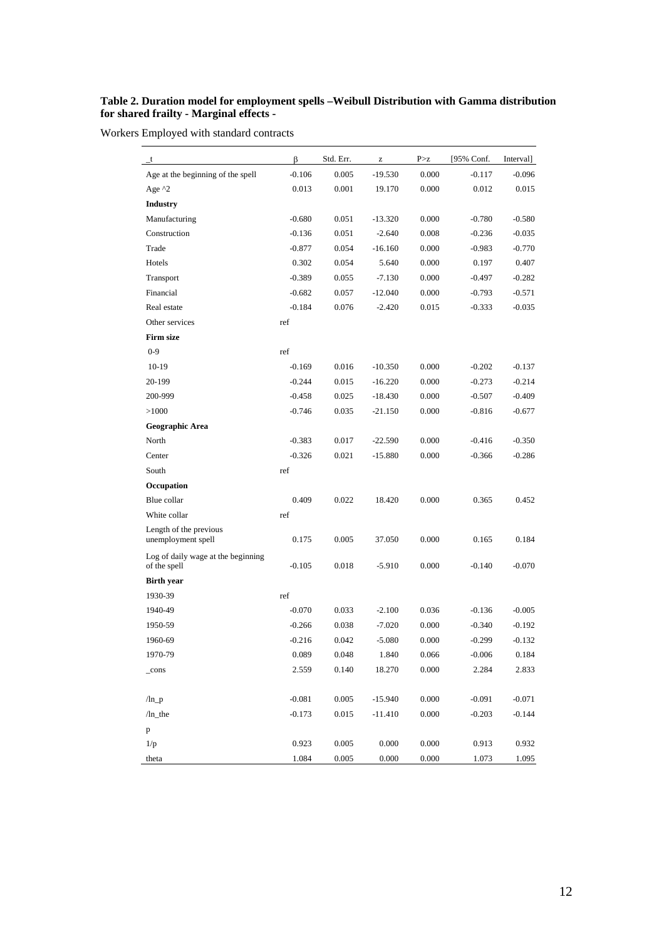### **Table 2. Duration model for employment spells –Weibull Distribution with Gamma distribution for shared frailty - Marginal effects -**

Workers Employed with standard contracts

| $_{-}t$                                            | β        | Std. Err. | Z         | P > z | [95% Conf. | Interval] |
|----------------------------------------------------|----------|-----------|-----------|-------|------------|-----------|
| Age at the beginning of the spell                  | $-0.106$ | 0.005     | $-19.530$ | 0.000 | $-0.117$   | $-0.096$  |
| Age $^{\wedge}2$                                   | 0.013    | 0.001     | 19.170    | 0.000 | 0.012      | 0.015     |
| <b>Industry</b>                                    |          |           |           |       |            |           |
| Manufacturing                                      | $-0.680$ | 0.051     | $-13.320$ | 0.000 | $-0.780$   | $-0.580$  |
| Construction                                       | $-0.136$ | 0.051     | $-2.640$  | 0.008 | $-0.236$   | $-0.035$  |
| Trade                                              | $-0.877$ | 0.054     | $-16.160$ | 0.000 | $-0.983$   | $-0.770$  |
| Hotels                                             | 0.302    | 0.054     | 5.640     | 0.000 | 0.197      | 0.407     |
| Transport                                          | $-0.389$ | 0.055     | $-7.130$  | 0.000 | $-0.497$   | $-0.282$  |
| Financial                                          | $-0.682$ | 0.057     | $-12.040$ | 0.000 | $-0.793$   | $-0.571$  |
| Real estate                                        | $-0.184$ | 0.076     | $-2.420$  | 0.015 | $-0.333$   | $-0.035$  |
| Other services                                     | ref      |           |           |       |            |           |
| <b>Firm size</b>                                   |          |           |           |       |            |           |
| $0 - 9$                                            | ref      |           |           |       |            |           |
| $10-19$                                            | $-0.169$ | 0.016     | $-10.350$ | 0.000 | $-0.202$   | $-0.137$  |
| 20-199                                             | $-0.244$ | 0.015     | $-16.220$ | 0.000 | $-0.273$   | $-0.214$  |
| 200-999                                            | $-0.458$ | 0.025     | $-18.430$ | 0.000 | $-0.507$   | $-0.409$  |
| >1000                                              | $-0.746$ | 0.035     | $-21.150$ | 0.000 | $-0.816$   | $-0.677$  |
| Geographic Area                                    |          |           |           |       |            |           |
| North                                              | $-0.383$ | 0.017     | $-22.590$ | 0.000 | $-0.416$   | $-0.350$  |
| Center                                             | $-0.326$ | 0.021     | $-15.880$ | 0.000 | $-0.366$   | $-0.286$  |
| South                                              | ref      |           |           |       |            |           |
| Occupation                                         |          |           |           |       |            |           |
| Blue collar                                        | 0.409    | 0.022     | 18.420    | 0.000 | 0.365      | 0.452     |
| White collar                                       | ref      |           |           |       |            |           |
| Length of the previous<br>unemployment spell       | 0.175    | 0.005     | 37.050    | 0.000 | 0.165      | 0.184     |
| Log of daily wage at the beginning<br>of the spell | $-0.105$ | 0.018     | $-5.910$  | 0.000 | $-0.140$   | $-0.070$  |
| <b>Birth year</b>                                  |          |           |           |       |            |           |
| 1930-39                                            | ref      |           |           |       |            |           |
| 1940-49                                            | $-0.070$ | 0.033     | $-2.100$  | 0.036 | $-0.136$   | $-0.005$  |
| 1950-59                                            | $-0.266$ | 0.038     | $-7.020$  | 0.000 | $-0.340$   | $-0.192$  |
| 1960-69                                            | $-0.216$ | 0.042     | $-5.080$  | 0.000 | $-0.299$   | $-0.132$  |
| 1970-79                                            | 0.089    | 0.048     | 1.840     | 0.066 | $-0.006$   | 0.184     |
| _cons                                              | 2.559    | 0.140     | 18.270    | 0.000 | 2.284      | 2.833     |
|                                                    |          |           |           |       |            |           |
| $/ln_p$                                            | $-0.081$ | 0.005     | $-15.940$ | 0.000 | $-0.091$   | $-0.071$  |
| $/ln_$ _the                                        | $-0.173$ | 0.015     | $-11.410$ | 0.000 | $-0.203$   | $-0.144$  |
| p                                                  |          |           |           |       |            |           |
| 1/p                                                | 0.923    | 0.005     | 0.000     | 0.000 | 0.913      | 0.932     |
| theta                                              | 1.084    | 0.005     | 0.000     | 0.000 | 1.073      | 1.095     |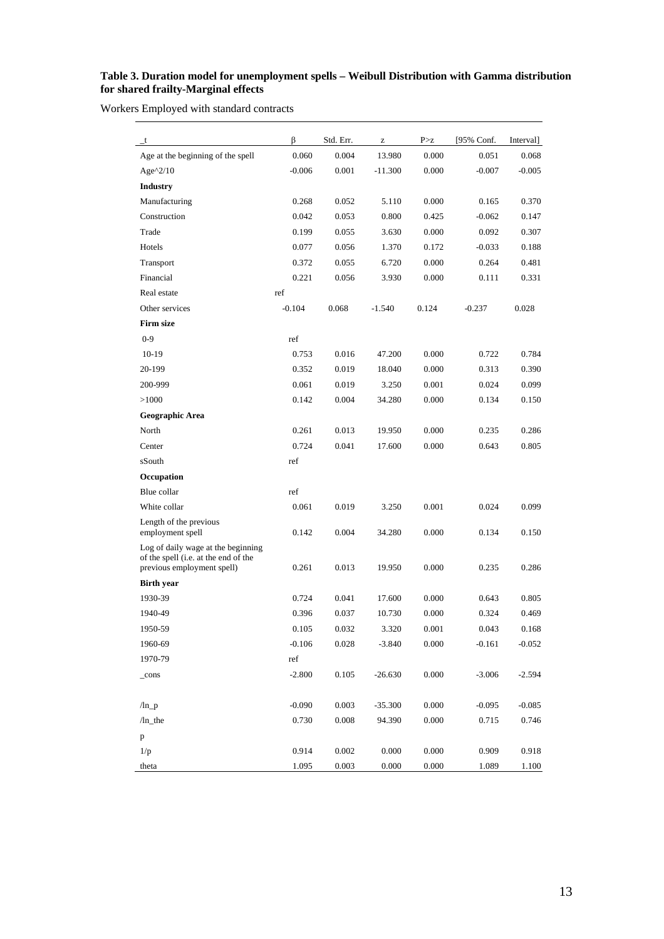#### **Table 3. Duration model for unemployment spells – Weibull Distribution with Gamma distribution for shared frailty-Marginal effects**

Workers Employed with standard contracts

| t                                                                                                        | ß        | Std. Err. | z         | P > z     | [95% Conf. | Interval] |
|----------------------------------------------------------------------------------------------------------|----------|-----------|-----------|-----------|------------|-----------|
| Age at the beginning of the spell                                                                        | 0.060    | 0.004     | 13.980    | 0.000     | 0.051      | 0.068     |
| Age $^{\wedge}2/10$                                                                                      | $-0.006$ | 0.001     | $-11.300$ | 0.000     | $-0.007$   | $-0.005$  |
| <b>Industry</b>                                                                                          |          |           |           |           |            |           |
| Manufacturing                                                                                            | 0.268    | 0.052     | 5.110     | 0.000     | 0.165      | 0.370     |
| Construction                                                                                             | 0.042    | 0.053     | 0.800     | 0.425     | $-0.062$   | 0.147     |
| Trade                                                                                                    | 0.199    | 0.055     | 3.630     | 0.000     | 0.092      | 0.307     |
| Hotels                                                                                                   | 0.077    | 0.056     | 1.370     | 0.172     | $-0.033$   | 0.188     |
| Transport                                                                                                | 0.372    | 0.055     | 6.720     | 0.000     | 0.264      | 0.481     |
| Financial                                                                                                | 0.221    | 0.056     | 3.930     | 0.000     | 0.111      | 0.331     |
| Real estate                                                                                              | ref      |           |           |           |            |           |
| Other services                                                                                           | $-0.104$ | 0.068     | $-1.540$  | 0.124     | $-0.237$   | 0.028     |
| <b>Firm size</b>                                                                                         |          |           |           |           |            |           |
| $0 - 9$                                                                                                  | ref      |           |           |           |            |           |
| $10-19$                                                                                                  | 0.753    | 0.016     | 47.200    | 0.000     | 0.722      | 0.784     |
| 20-199                                                                                                   | 0.352    | 0.019     | 18.040    | 0.000     | 0.313      | 0.390     |
| 200-999                                                                                                  | 0.061    | 0.019     | 3.250     | 0.001     | 0.024      | 0.099     |
| >1000                                                                                                    | 0.142    | 0.004     | 34.280    | 0.000     | 0.134      | 0.150     |
| Geographic Area                                                                                          |          |           |           |           |            |           |
| North                                                                                                    | 0.261    | 0.013     | 19.950    | 0.000     | 0.235      | 0.286     |
| Center                                                                                                   | 0.724    | 0.041     | 17.600    | 0.000     | 0.643      | 0.805     |
| sSouth                                                                                                   | ref      |           |           |           |            |           |
| Occupation                                                                                               |          |           |           |           |            |           |
| Blue collar                                                                                              | ref      |           |           |           |            |           |
| White collar                                                                                             | 0.061    | 0.019     | 3.250     | 0.001     | 0.024      | 0.099     |
| Length of the previous<br>employment spell                                                               | 0.142    | 0.004     | 34.280    | 0.000     | 0.134      | 0.150     |
| Log of daily wage at the beginning<br>of the spell (i.e. at the end of the<br>previous employment spell) | 0.261    | 0.013     | 19.950    | 0.000     | 0.235      | 0.286     |
| <b>Birth year</b>                                                                                        |          |           |           |           |            |           |
| 1930-39                                                                                                  | 0.724    | 0.041     | 17.600    | 0.000     | 0.643      | 0.805     |
| 1940-49                                                                                                  | 0.396    | 0.037     | 10.730    | 0.000     | 0.324      | 0.469     |
| 1950-59                                                                                                  | 0.105    | 0.032     | 3.320     | 0.001     | 0.043      | 0.168     |
| 1960-69                                                                                                  | $-0.106$ | 0.028     | $-3.840$  | 0.000     | $-0.161$   | $-0.052$  |
| 1970-79                                                                                                  | ref      |           |           |           |            |           |
| $_{\rm cons}$                                                                                            | $-2.800$ | 0.105     | $-26.630$ | 0.000     | $-3.006$   | $-2.594$  |
|                                                                                                          |          |           |           |           |            |           |
| $/ln_p$                                                                                                  | $-0.090$ | 0.003     | $-35.300$ | 0.000     | $-0.095$   | $-0.085$  |
| $/ln_$ -the                                                                                              | 0.730    | 0.008     | 94.390    | 0.000     | 0.715      | 0.746     |
| p                                                                                                        |          |           |           |           |            |           |
| 1/p                                                                                                      | 0.914    | 0.002     | 0.000     | $0.000\,$ | 0.909      | 0.918     |
| theta                                                                                                    | 1.095    | 0.003     | 0.000     | 0.000     | 1.089      | 1.100     |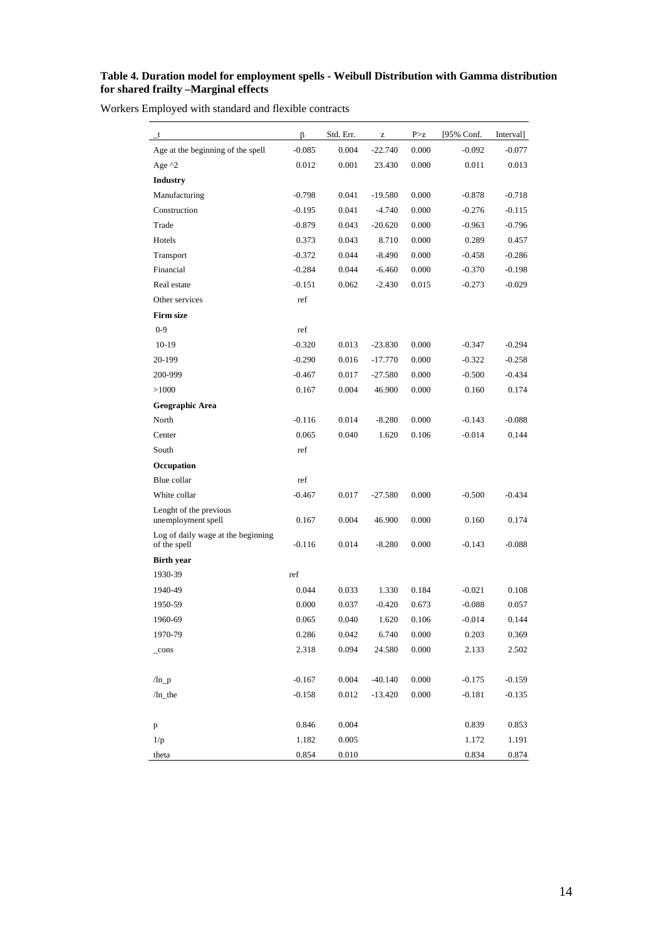#### **Table 4. Duration model for employment spells - Weibull Distribution with Gamma distribution for shared frailty –Marginal effects**

Workers Employed with standard and flexible contracts

| $_{-}$ t                                           | β        | Std. Err. | Z         | P > z | [95% Conf. | Interval] |
|----------------------------------------------------|----------|-----------|-----------|-------|------------|-----------|
| Age at the beginning of the spell                  | $-0.085$ | 0.004     | $-22.740$ | 0.000 | $-0.092$   | $-0.077$  |
| Age $^{\wedge}2$                                   | 0.012    | 0.001     | 23.430    | 0.000 | 0.011      | 0.013     |
| <b>Industry</b>                                    |          |           |           |       |            |           |
| Manufacturing                                      | $-0.798$ | 0.041     | $-19.580$ | 0.000 | $-0.878$   | $-0.718$  |
| Construction                                       | $-0.195$ | 0.041     | $-4.740$  | 0.000 | $-0.276$   | $-0.115$  |
| Trade                                              | $-0.879$ | 0.043     | $-20.620$ | 0.000 | $-0.963$   | $-0.796$  |
| Hotels                                             | 0.373    | 0.043     | 8.710     | 0.000 | 0.289      | 0.457     |
| Transport                                          | $-0.372$ | 0.044     | $-8.490$  | 0.000 | $-0.458$   | $-0.286$  |
| Financial                                          | $-0.284$ | 0.044     | $-6.460$  | 0.000 | $-0.370$   | $-0.198$  |
| Real estate                                        | $-0.151$ | 0.062     | $-2.430$  | 0.015 | $-0.273$   | $-0.029$  |
| Other services                                     | ref      |           |           |       |            |           |
| <b>Firm size</b>                                   |          |           |           |       |            |           |
| $0 - 9$                                            | ref      |           |           |       |            |           |
| $10-19$                                            | $-0.320$ | 0.013     | $-23.830$ | 0.000 | $-0.347$   | $-0.294$  |
| 20-199                                             | $-0.290$ | 0.016     | $-17.770$ | 0.000 | $-0.322$   | $-0.258$  |
| 200-999                                            | $-0.467$ | 0.017     | $-27.580$ | 0.000 | $-0.500$   | $-0.434$  |
| >1000                                              | 0.167    | 0.004     | 46.900    | 0.000 | 0.160      | 0.174     |
| Geographic Area                                    |          |           |           |       |            |           |
| North                                              | $-0.116$ | 0.014     | $-8.280$  | 0.000 | $-0.143$   | $-0.088$  |
| Center                                             | 0.065    | 0.040     | 1.620     | 0.106 | $-0.014$   | 0.144     |
| South                                              | ref      |           |           |       |            |           |
| Occupation                                         |          |           |           |       |            |           |
| Blue collar                                        | ref      |           |           |       |            |           |
| White collar                                       | $-0.467$ | 0.017     | $-27.580$ | 0.000 | $-0.500$   | $-0.434$  |
| Lenght of the previous<br>unemployment spell       | 0.167    | 0.004     | 46.900    | 0.000 | 0.160      | 0.174     |
| Log of daily wage at the beginning<br>of the spell | $-0.116$ | 0.014     | $-8.280$  | 0.000 | $-0.143$   | $-0.088$  |
| <b>Birth year</b>                                  |          |           |           |       |            |           |
| 1930-39                                            | ref      |           |           |       |            |           |
| 1940-49                                            | 0.044    | 0.033     | 1.330     | 0.184 | $-0.021$   | 0.108     |
| 1950-59                                            | 0.000    | 0.037     | $-0.420$  | 0.673 | $-0.088$   | 0.057     |
| 1960-69                                            | 0.065    | 0.040     | 1.620     | 0.106 | $-0.014$   | 0.144     |
| 1970-79                                            | 0.286    | 0.042     | 6.740     | 0.000 | 0.203      | 0.369     |
| $_{\rm -cons}$                                     | 2.318    | 0.094     | 24.580    | 0.000 | 2.133      | 2.502     |
| $\ln_p$                                            | $-0.167$ | 0.004     | $-40.140$ | 0.000 | $-0.175$   | $-0.159$  |
| $/ln_the$                                          | $-0.158$ | 0.012     | $-13.420$ | 0.000 | $-0.181$   | $-0.135$  |
| p                                                  | 0.846    | 0.004     |           |       | 0.839      | 0.853     |
| 1/p                                                | 1.182    | 0.005     |           |       | 1.172      | 1.191     |
| theta                                              | 0.854    | 0.010     |           |       | 0.834      | 0.874     |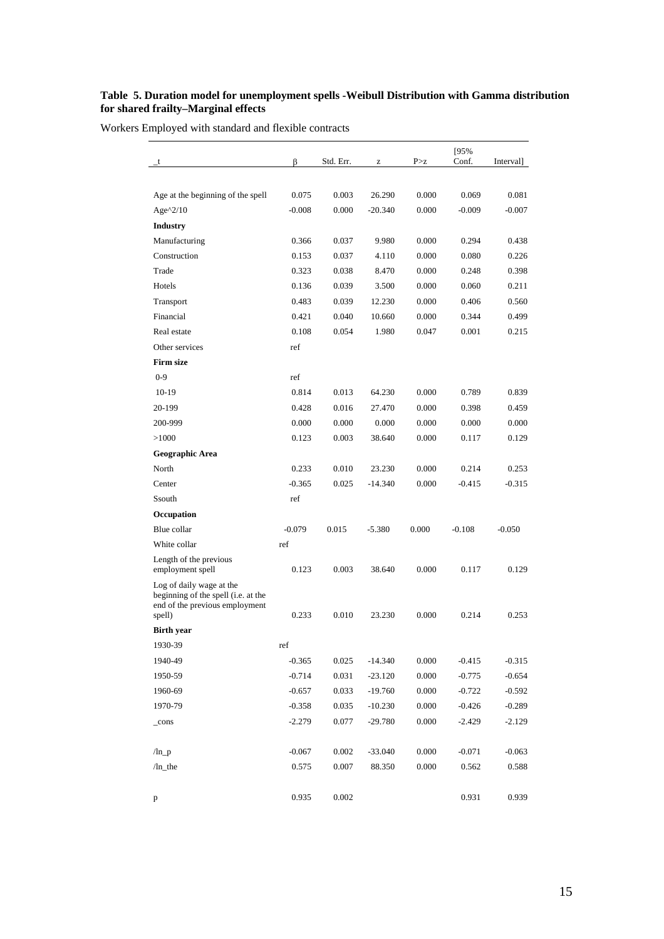#### **Table 5. Duration model for unemployment spells -Weibull Distribution with Gamma distribution for shared frailty–Marginal effects**

Workers Employed with standard and flexible contracts

|                                                                                                   |          |           |           |       | [95%     |           |
|---------------------------------------------------------------------------------------------------|----------|-----------|-----------|-------|----------|-----------|
| t                                                                                                 | β        | Std. Err. | z         | P > z | Conf.    | Interval] |
|                                                                                                   |          |           |           |       |          |           |
| Age at the beginning of the spell                                                                 | 0.075    | 0.003     | 26.290    | 0.000 | 0.069    | 0.081     |
| Age $^2/10$                                                                                       | $-0.008$ | 0.000     | $-20.340$ | 0.000 | $-0.009$ | $-0.007$  |
| <b>Industry</b>                                                                                   |          |           |           |       |          |           |
| Manufacturing                                                                                     | 0.366    | 0.037     | 9.980     | 0.000 | 0.294    | 0.438     |
| Construction                                                                                      | 0.153    | 0.037     | 4.110     | 0.000 | 0.080    | 0.226     |
| Trade                                                                                             | 0.323    | 0.038     | 8.470     | 0.000 | 0.248    | 0.398     |
| Hotels                                                                                            | 0.136    | 0.039     | 3.500     | 0.000 | 0.060    | 0.211     |
| Transport                                                                                         | 0.483    | 0.039     | 12.230    | 0.000 | 0.406    | 0.560     |
| Financial                                                                                         | 0.421    | 0.040     | 10.660    | 0.000 | 0.344    | 0.499     |
| Real estate                                                                                       | 0.108    | 0.054     | 1.980     | 0.047 | 0.001    | 0.215     |
| Other services                                                                                    | ref      |           |           |       |          |           |
| <b>Firm size</b>                                                                                  |          |           |           |       |          |           |
| $0-9$                                                                                             | ref      |           |           |       |          |           |
| $10-19$                                                                                           | 0.814    | 0.013     | 64.230    | 0.000 | 0.789    | 0.839     |
| 20-199                                                                                            | 0.428    | 0.016     | 27.470    | 0.000 | 0.398    | 0.459     |
| 200-999                                                                                           | 0.000    | 0.000     | 0.000     | 0.000 | 0.000    | 0.000     |
| >1000                                                                                             | 0.123    | 0.003     | 38.640    | 0.000 | 0.117    | 0.129     |
| Geographic Area                                                                                   |          |           |           |       |          |           |
| North                                                                                             | 0.233    | 0.010     | 23.230    | 0.000 | 0.214    | 0.253     |
| Center                                                                                            | $-0.365$ | 0.025     | -14.340   | 0.000 | $-0.415$ | $-0.315$  |
| Ssouth                                                                                            | ref      |           |           |       |          |           |
| Occupation                                                                                        |          |           |           |       |          |           |
| Blue collar                                                                                       | $-0.079$ | 0.015     | $-5.380$  | 0.000 | $-0.108$ | $-0.050$  |
| White collar                                                                                      | ref      |           |           |       |          |           |
| Length of the previous<br>employment spell                                                        | 0.123    | 0.003     | 38.640    | 0.000 | 0.117    | 0.129     |
| Log of daily wage at the<br>beginning of the spell (i.e. at the<br>end of the previous employment |          |           |           |       |          |           |
| spell)                                                                                            | 0.233    | 0.010     | 23.230    | 0.000 | 0.214    | 0.253     |
| <b>Birth year</b>                                                                                 |          |           |           |       |          |           |
| 1930-39                                                                                           | ref      |           |           |       |          |           |
| 1940-49                                                                                           | $-0.365$ | 0.025     | $-14.340$ | 0.000 | $-0.415$ | $-0.315$  |
| 1950-59                                                                                           | $-0.714$ | 0.031     | $-23.120$ | 0.000 | $-0.775$ | $-0.654$  |
| 1960-69                                                                                           | $-0.657$ | 0.033     | $-19.760$ | 0.000 | $-0.722$ | $-0.592$  |
| 1970-79                                                                                           | $-0.358$ | 0.035     | $-10.230$ | 0.000 | $-0.426$ | $-0.289$  |
| _cons                                                                                             | $-2.279$ | 0.077     | $-29.780$ | 0.000 | $-2.429$ | $-2.129$  |
|                                                                                                   |          |           |           |       |          |           |
| $\ln_p$                                                                                           | $-0.067$ | 0.002     | $-33.040$ | 0.000 | $-0.071$ | $-0.063$  |
| $/ln$ _the                                                                                        | 0.575    | 0.007     | 88.350    | 0.000 | 0.562    | 0.588     |
|                                                                                                   |          |           |           |       |          |           |
| p                                                                                                 | 0.935    | 0.002     |           |       | 0.931    | 0.939     |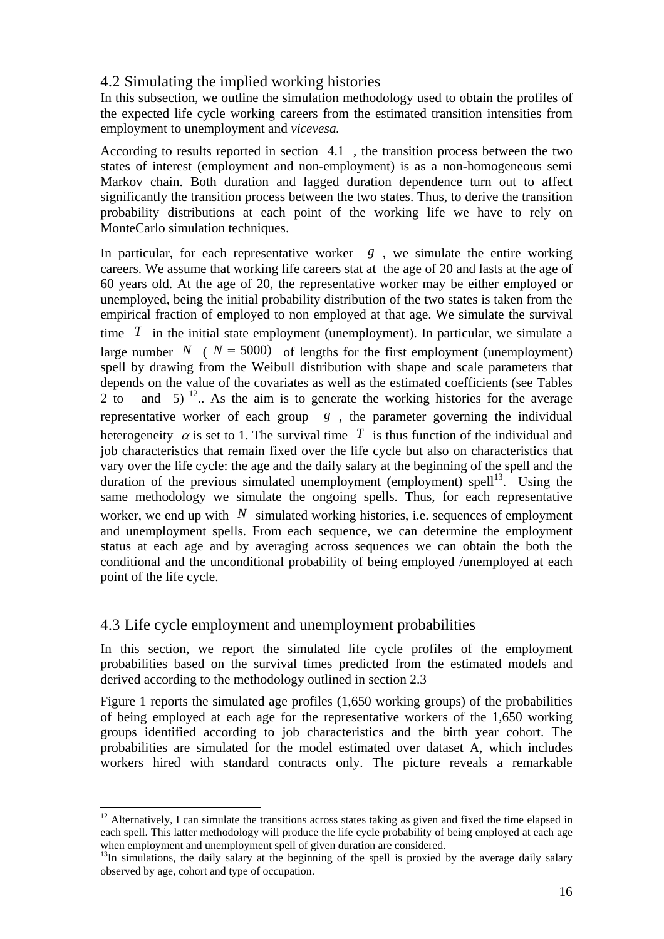# 4.2 Simulating the implied working histories

In this subsection, we outline the simulation methodology used to obtain the profiles of the expected life cycle working careers from the estimated transition intensities from employment to unemployment and *vicevesa.*

According to results reported in section 4.1 , the transition process between the two states of interest (employment and non-employment) is as a non-homogeneous semi Markov chain. Both duration and lagged duration dependence turn out to affect significantly the transition process between the two states. Thus, to derive the transition probability distributions at each point of the working life we have to rely on MonteCarlo simulation techniques.

In particular, for each representative worker *g* , we simulate the entire working careers. We assume that working life careers stat at the age of 20 and lasts at the age of 60 years old. At the age of 20, the representative worker may be either employed or unemployed, being the initial probability distribution of the two states is taken from the empirical fraction of employed to non employed at that age. We simulate the survival time  $T$  in the initial state employment (unemployment). In particular, we simulate a large number *N* (  $N = 5000$ ) of lengths for the first employment (unemployment) spell by drawing from the Weibull distribution with shape and scale parameters that depends on the value of the covariates as well as the estimated coefficients (see Tables 2 to and 5)  $^{12}$ . As the aim is to generate the working histories for the average representative worker of each group *g* , the parameter governing the individual heterogeneity  $\alpha$  is set to 1. The survival time  $T$  is thus function of the individual and job characteristics that remain fixed over the life cycle but also on characteristics that vary over the life cycle: the age and the daily salary at the beginning of the spell and the duration of the previous simulated unemployment (employment) spell<sup>13</sup>. Using the same methodology we simulate the ongoing spells. Thus, for each representative worker, we end up with  $N$  simulated working histories, i.e. sequences of employment and unemployment spells. From each sequence, we can determine the employment status at each age and by averaging across sequences we can obtain the both the conditional and the unconditional probability of being employed /unemployed at each point of the life cycle.

# 4.3 Life cycle employment and unemployment probabilities

 $\overline{a}$ 

In this section, we report the simulated life cycle profiles of the employment probabilities based on the survival times predicted from the estimated models and derived according to the methodology outlined in section 2.3

Figure 1 reports the simulated age profiles (1,650 working groups) of the probabilities of being employed at each age for the representative workers of the 1,650 working groups identified according to job characteristics and the birth year cohort. The probabilities are simulated for the model estimated over dataset A, which includes workers hired with standard contracts only. The picture reveals a remarkable

 $12$  Alternatively, I can simulate the transitions across states taking as given and fixed the time elapsed in each spell. This latter methodology will produce the life cycle probability of being employed at each age when employment and unemployment spell of given duration are considered.

<sup>&</sup>lt;sup>13</sup>In simulations, the daily salary at the beginning of the spell is proxied by the average daily salary observed by age, cohort and type of occupation.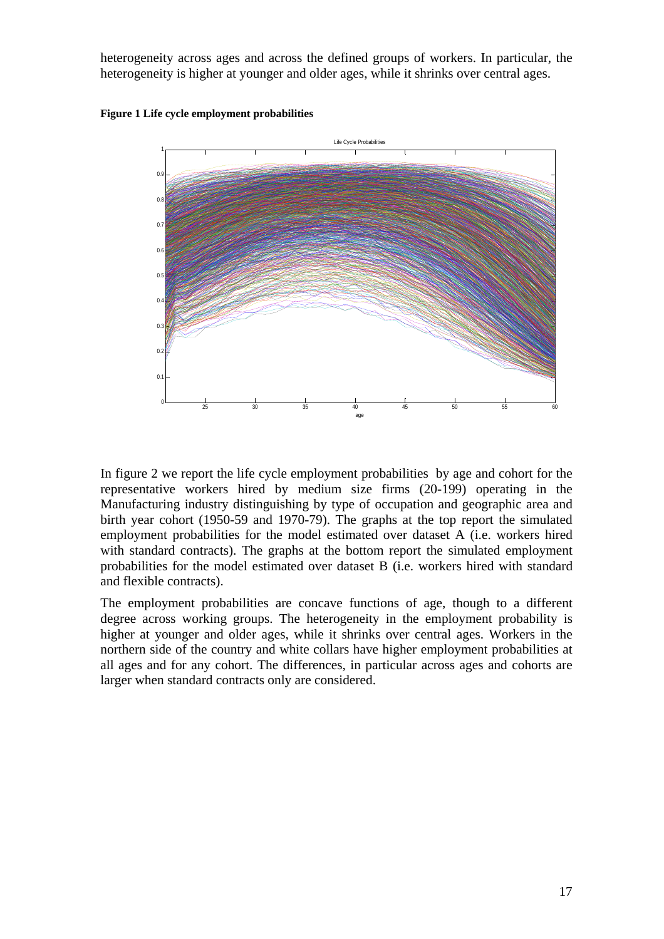heterogeneity across ages and across the defined groups of workers. In particular, the heterogeneity is higher at younger and older ages, while it shrinks over central ages.

**Figure 1 Life cycle employment probabilities** 



In figure 2 we report the life cycle employment probabilities by age and cohort for the representative workers hired by medium size firms (20-199) operating in the Manufacturing industry distinguishing by type of occupation and geographic area and birth year cohort (1950-59 and 1970-79). The graphs at the top report the simulated employment probabilities for the model estimated over dataset A (i.e. workers hired with standard contracts). The graphs at the bottom report the simulated employment probabilities for the model estimated over dataset B (i.e. workers hired with standard and flexible contracts).

The employment probabilities are concave functions of age, though to a different degree across working groups. The heterogeneity in the employment probability is higher at younger and older ages, while it shrinks over central ages. Workers in the northern side of the country and white collars have higher employment probabilities at all ages and for any cohort. The differences, in particular across ages and cohorts are larger when standard contracts only are considered.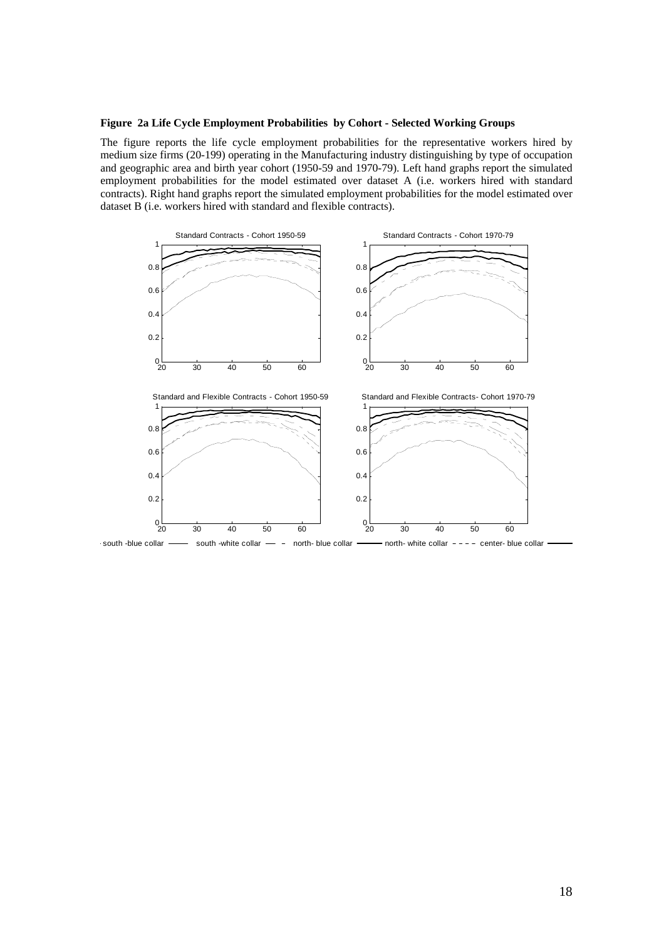#### **Figure 2a Life Cycle Employment Probabilities by Cohort - Selected Working Groups**

The figure reports the life cycle employment probabilities for the representative workers hired by medium size firms (20-199) operating in the Manufacturing industry distinguishing by type of occupation and geographic area and birth year cohort (1950-59 and 1970-79). Left hand graphs report the simulated employment probabilities for the model estimated over dataset A (i.e. workers hired with standard contracts). Right hand graphs report the simulated employment probabilities for the model estimated over dataset B (i.e. workers hired with standard and flexible contracts).



south -blue collar ---- south -white collar -- north- blue collar ---- north- white collar ---- center- blue collar - north-white collar  $---$  center-blue collar -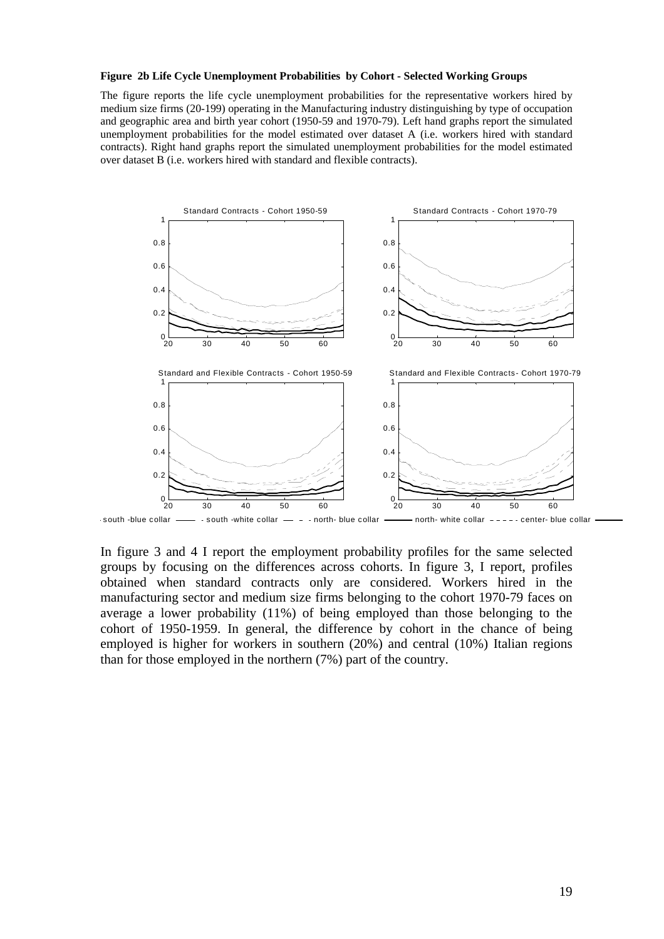#### **Figure 2b Life Cycle Unemployment Probabilities by Cohort - Selected Working Groups**

The figure reports the life cycle unemployment probabilities for the representative workers hired by medium size firms (20-199) operating in the Manufacturing industry distinguishing by type of occupation and geographic area and birth year cohort (1950-59 and 1970-79). Left hand graphs report the simulated unemployment probabilities for the model estimated over dataset A (i.e. workers hired with standard contracts). Right hand graphs report the simulated unemployment probabilities for the model estimated over dataset B (i.e. workers hired with standard and flexible contracts).



In figure 3 and 4 I report the employment probability profiles for the same selected groups by focusing on the differences across cohorts. In figure 3, I report, profiles obtained when standard contracts only are considered. Workers hired in the manufacturing sector and medium size firms belonging to the cohort 1970-79 faces on average a lower probability (11%) of being employed than those belonging to the cohort of 1950-1959. In general, the difference by cohort in the chance of being employed is higher for workers in southern (20%) and central (10%) Italian regions than for those employed in the northern (7%) part of the country.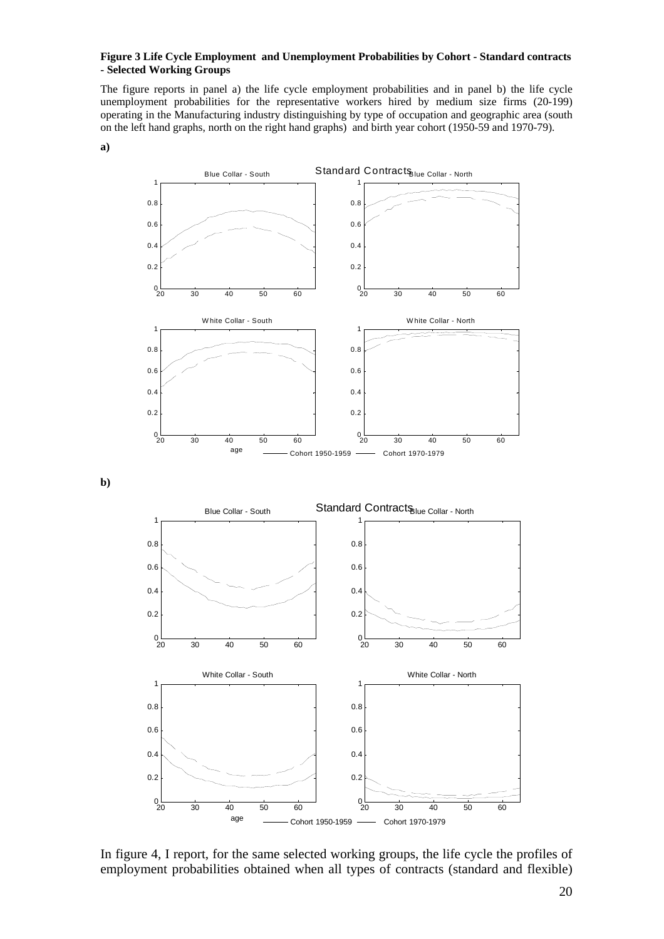#### **Figure 3 Life Cycle Employment and Unemployment Probabilities by Cohort - Standard contracts - Selected Working Groups**

The figure reports in panel a) the life cycle employment probabilities and in panel b) the life cycle unemployment probabilities for the representative workers hired by medium size firms (20-199) operating in the Manufacturing industry distinguishing by type of occupation and geographic area (south on the left hand graphs, north on the right hand graphs) and birth year cohort (1950-59 and 1970-79).



**b)** 



In figure 4, I report, for the same selected working groups, the life cycle the profiles of employment probabilities obtained when all types of contracts (standard and flexible)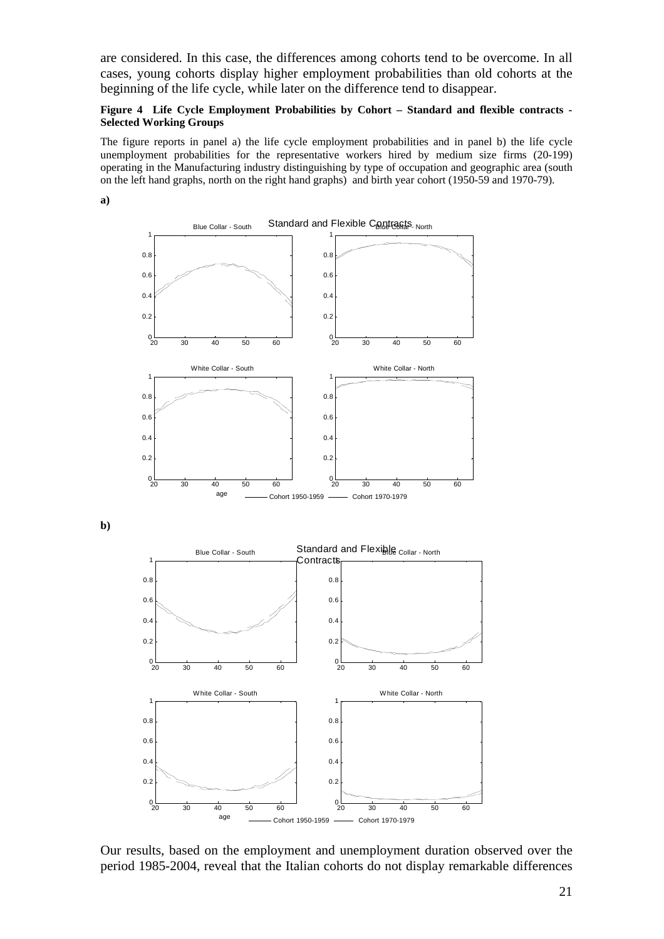are considered. In this case, the differences among cohorts tend to be overcome. In all cases, young cohorts display higher employment probabilities than old cohorts at the beginning of the life cycle, while later on the difference tend to disappear.

#### **Figure 4 Life Cycle Employment Probabilities by Cohort – Standard and flexible contracts - Selected Working Groups**

The figure reports in panel a) the life cycle employment probabilities and in panel b) the life cycle unemployment probabilities for the representative workers hired by medium size firms (20-199) operating in the Manufacturing industry distinguishing by type of occupation and geographic area (south on the left hand graphs, north on the right hand graphs) and birth year cohort (1950-59 and 1970-79).

**a)**

**b)** 



Our results, based on the employment and unemployment duration observed over the period 1985-2004, reveal that the Italian cohorts do not display remarkable differences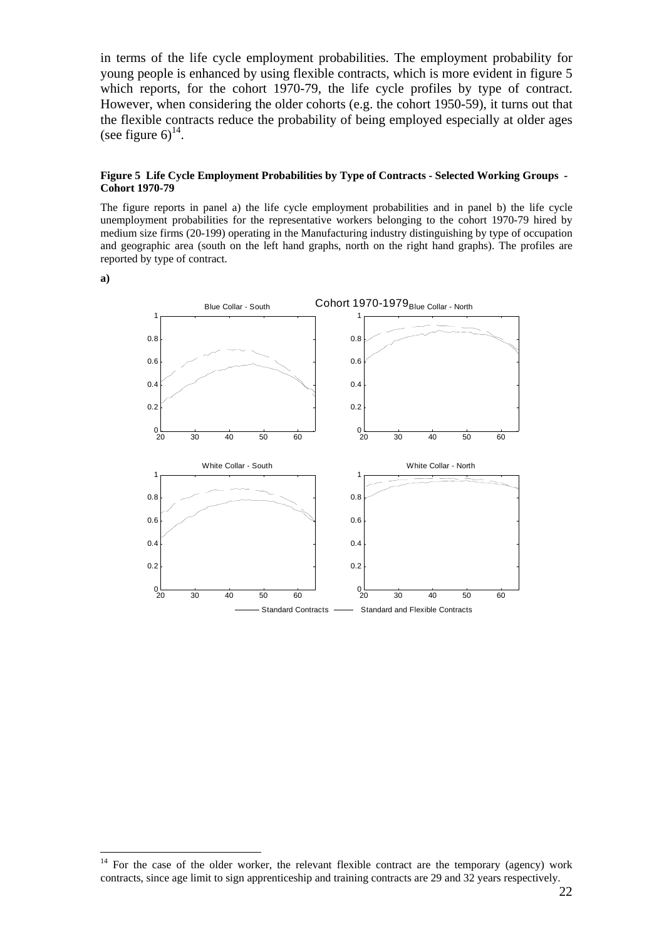in terms of the life cycle employment probabilities. The employment probability for young people is enhanced by using flexible contracts, which is more evident in figure 5 which reports, for the cohort 1970-79, the life cycle profiles by type of contract. However, when considering the older cohorts (e.g. the cohort 1950-59), it turns out that the flexible contracts reduce the probability of being employed especially at older ages (see figure  $6)^{14}$ .

#### **Figure 5 Life Cycle Employment Probabilities by Type of Contracts - Selected Working Groups - Cohort 1970-79**

The figure reports in panel a) the life cycle employment probabilities and in panel b) the life cycle unemployment probabilities for the representative workers belonging to the cohort 1970-79 hired by medium size firms (20-199) operating in the Manufacturing industry distinguishing by type of occupation and geographic area (south on the left hand graphs, north on the right hand graphs). The profiles are reported by type of contract.

**a)** 

 $\overline{a}$ 



<sup>&</sup>lt;sup>14</sup> For the case of the older worker, the relevant flexible contract are the temporary (agency) work contracts, since age limit to sign apprenticeship and training contracts are 29 and 32 years respectively.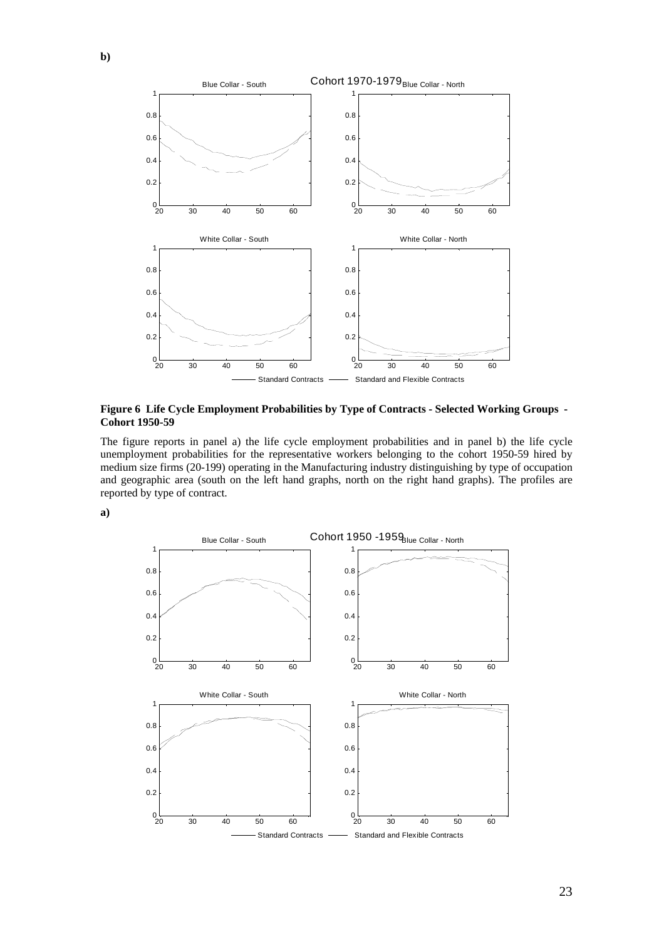

**Figure 6 Life Cycle Employment Probabilities by Type of Contracts - Selected Working Groups - Cohort 1950-59** 

The figure reports in panel a) the life cycle employment probabilities and in panel b) the life cycle unemployment probabilities for the representative workers belonging to the cohort 1950-59 hired by medium size firms (20-199) operating in the Manufacturing industry distinguishing by type of occupation and geographic area (south on the left hand graphs, north on the right hand graphs). The profiles are reported by type of contract.

**a)** 

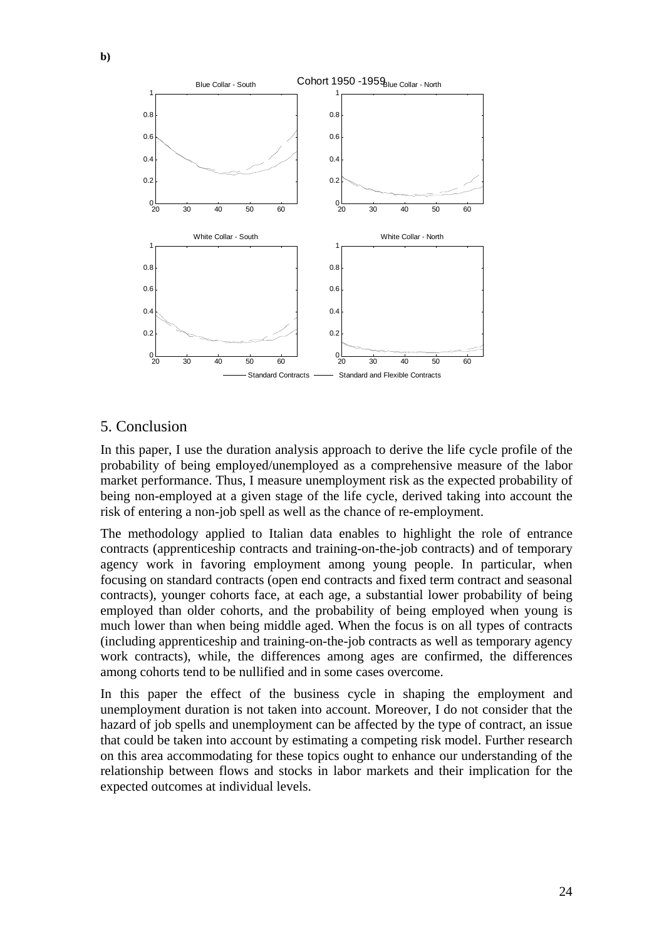

# 5. Conclusion

In this paper, I use the duration analysis approach to derive the life cycle profile of the probability of being employed/unemployed as a comprehensive measure of the labor market performance. Thus, I measure unemployment risk as the expected probability of being non-employed at a given stage of the life cycle, derived taking into account the risk of entering a non-job spell as well as the chance of re-employment.

The methodology applied to Italian data enables to highlight the role of entrance contracts (apprenticeship contracts and training-on-the-job contracts) and of temporary agency work in favoring employment among young people. In particular, when focusing on standard contracts (open end contracts and fixed term contract and seasonal contracts), younger cohorts face, at each age, a substantial lower probability of being employed than older cohorts, and the probability of being employed when young is much lower than when being middle aged. When the focus is on all types of contracts (including apprenticeship and training-on-the-job contracts as well as temporary agency work contracts), while, the differences among ages are confirmed, the differences among cohorts tend to be nullified and in some cases overcome.

In this paper the effect of the business cycle in shaping the employment and unemployment duration is not taken into account. Moreover, I do not consider that the hazard of job spells and unemployment can be affected by the type of contract, an issue that could be taken into account by estimating a competing risk model. Further research on this area accommodating for these topics ought to enhance our understanding of the relationship between flows and stocks in labor markets and their implication for the expected outcomes at individual levels.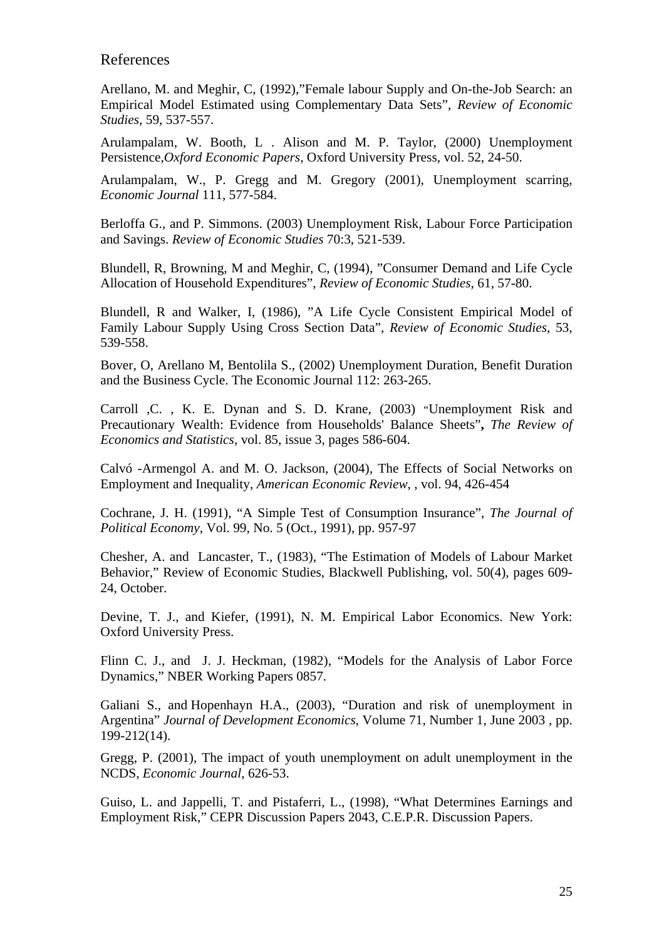## References

Arellano, M. and Meghir, C, (1992),"Female labour Supply and On-the-Job Search: an Empirical Model Estimated using Complementary Data Sets", *Review of Economic Studies*, 59, 537-557.

Arulampalam, W. Booth, L . Alison and M. P. Taylor, (2000) Unemployment Persistence,*Oxford Economic Papers*, Oxford University Press, vol. 52, 24-50.

Arulampalam, W., P. Gregg and M. Gregory (2001), Unemployment scarring, *Economic Journal* 111, 577-584.

Berloffa G., and P. Simmons. (2003) Unemployment Risk, Labour Force Participation and Savings. *Review of Economic Studies* 70:3, 521-539.

Blundell, R, Browning, M and Meghir, C, (1994), "Consumer Demand and Life Cycle Allocation of Household Expenditures", *Review of Economic Studies*, 61, 57-80.

Blundell, R and Walker, I, (1986), "A Life Cycle Consistent Empirical Model of Family Labour Supply Using Cross Section Data", *Review of Economic Studies*, 53, 539-558.

Bover, O, Arellano M, Bentolila S., (2002) Unemployment Duration, Benefit Duration and the Business Cycle. The Economic Journal 112: 263-265.

Carroll ,C. , K. E. Dynan and S. D. Krane, (2003) "Unemployment Risk and Precautionary Wealth: Evidence from Households' Balance Sheets"**,** *The Review of Economics and Statistics*, vol. 85, issue 3, pages 586-604.

Calvó -Armengol A. and M. O. Jackson, (2004), The Effects of Social Networks on Employment and Inequality, *American Economic Review*, , vol. 94, 426-454

Cochrane, J. H. (1991), "A Simple Test of Consumption Insurance", *The Journal of Political Economy*, Vol. 99, No. 5 (Oct., 1991), pp. 957-97

Chesher, A. and Lancaster, T., (1983), "The Estimation of Models of Labour Market Behavior," Review of Economic Studies, Blackwell Publishing, vol. 50(4), pages 609- 24, October.

Devine, T. J., and Kiefer, (1991), N. M. Empirical Labor Economics. New York: Oxford University Press.

Flinn C. J., and J. J. Heckman, (1982), "Models for the Analysis of Labor Force Dynamics," NBER Working Papers 0857.

Galiani S., and Hopenhayn H.A., (2003), "Duration and risk of unemployment in Argentina" *Journal of Development Economics*, Volume 71, Number 1, June 2003 , pp. 199-212(14).

Gregg, P. (2001), The impact of youth unemployment on adult unemployment in the NCDS, *Economic Journal*, 626-53.

Guiso, L. and Jappelli, T. and Pistaferri, L., (1998), "What Determines Earnings and Employment Risk," CEPR Discussion Papers 2043, C.E.P.R. Discussion Papers.